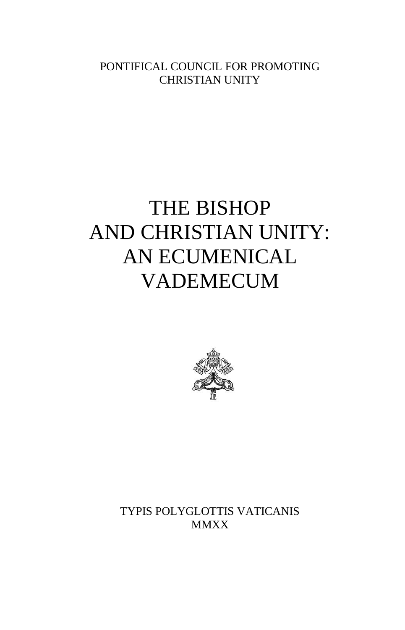# THE BISHOP AND CHRISTIAN UNITY: AN ECUMENICAL VADEMECUM



TYPIS POLYGLOTTIS VATICANIS **MMXX**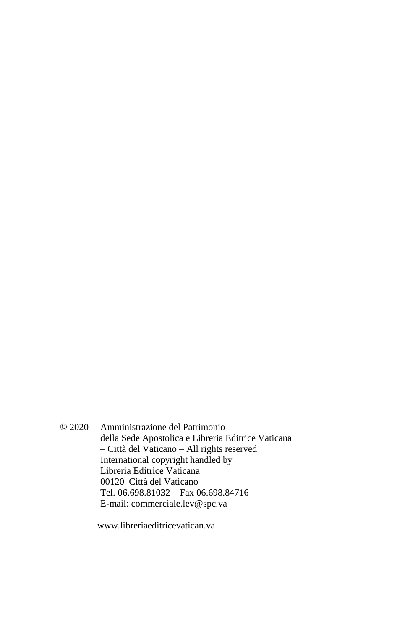© 2020 – Amministrazione del Patrimonio della Sede Apostolica e Libreria Editrice Vaticana – Città del Vaticano – All rights reserved International copyright handled by Libreria Editrice Vaticana 00120 Città del Vaticano Tel. 06.698.81032 – Fax 06.698.84716 E-mail: commerciale.lev@spc.va

www.libreriaeditricevatican.va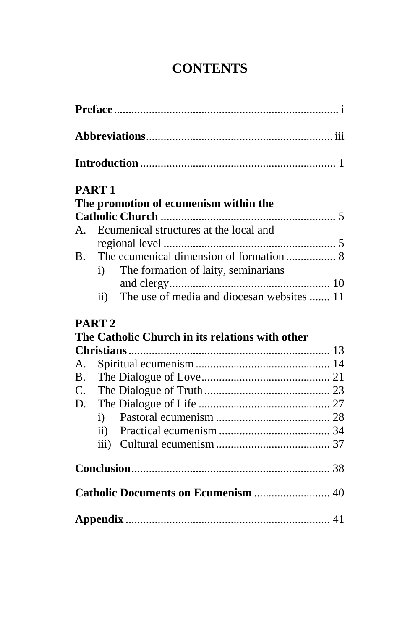# **CONTENTS**

|                | PART <sub>1</sub>                               |  |
|----------------|-------------------------------------------------|--|
|                | The promotion of ecumenism within the           |  |
|                |                                                 |  |
|                | A. Ecumenical structures at the local and       |  |
|                |                                                 |  |
| <b>B.</b>      |                                                 |  |
|                | The formation of laity, seminarians<br>i)       |  |
|                |                                                 |  |
|                | ii) The use of media and diocesan websites  11  |  |
|                | PART <sub>2</sub>                               |  |
|                | The Catholic Church in its relations with other |  |
|                |                                                 |  |
| $\mathsf{A}$ . |                                                 |  |
| $\mathbf{B}$ . |                                                 |  |
|                |                                                 |  |
| D.             |                                                 |  |
|                |                                                 |  |
|                |                                                 |  |
|                |                                                 |  |
|                |                                                 |  |
|                | Catholic Documents on Ecumenism  40             |  |
|                |                                                 |  |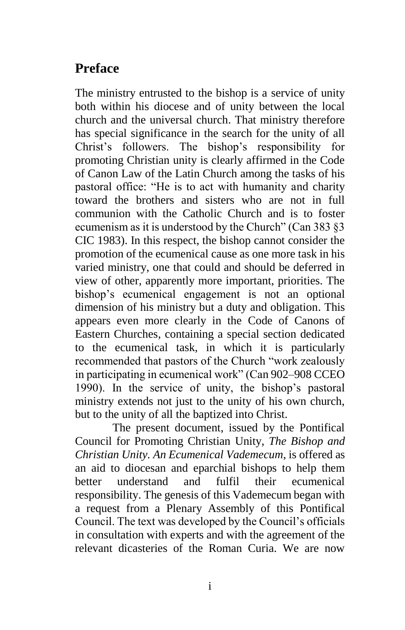# **Preface**

The ministry entrusted to the bishop is a service of unity both within his diocese and of unity between the local church and the universal church. That ministry therefore has special significance in the search for the unity of all Christ's followers. The bishop's responsibility for promoting Christian unity is clearly affirmed in the Code of Canon Law of the Latin Church among the tasks of his pastoral office: "He is to act with humanity and charity toward the brothers and sisters who are not in full communion with the Catholic Church and is to foster ecumenism as it is understood by the Church" (Can 383 §3 CIC 1983). In this respect, the bishop cannot consider the promotion of the ecumenical cause as one more task in his varied ministry, one that could and should be deferred in view of other, apparently more important, priorities. The bishop's ecumenical engagement is not an optional dimension of his ministry but a duty and obligation. This appears even more clearly in the Code of Canons of Eastern Churches, containing a special section dedicated to the ecumenical task, in which it is particularly recommended that pastors of the Church "work zealously in participating in ecumenical work" (Can 902–908 CCEO 1990). In the service of unity, the bishop's pastoral ministry extends not just to the unity of his own church, but to the unity of all the baptized into Christ.

The present document, issued by the Pontifical Council for Promoting Christian Unity, *The Bishop and Christian Unity. An Ecumenical Vademecum*, is offered as an aid to diocesan and eparchial bishops to help them better understand and fulfil their ecumenical responsibility. The genesis of this Vademecum began with a request from a Plenary Assembly of this Pontifical Council. The text was developed by the Council's officials in consultation with experts and with the agreement of the relevant dicasteries of the Roman Curia. We are now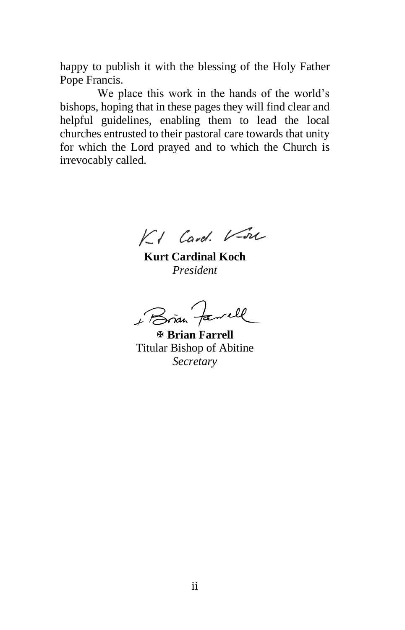happy to publish it with the blessing of the Holy Father Pope Francis.

We place this work in the hands of the world's bishops, hoping that in these pages they will find clear and helpful guidelines, enabling them to lead the local churches entrusted to their pastoral care towards that unity for which the Lord prayed and to which the Church is irrevocably called.

KI Card. V-on

**Kurt Cardinal Koch** *President*

Bran Farrell

 **Brian Farrell** Titular Bishop of Abitine *Secretary*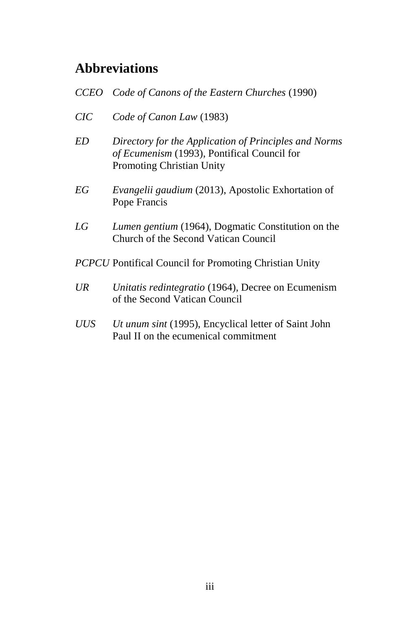# **Abbreviations**

| CCEO                                                          | Code of Canons of the Eastern Churches (1990)                                                                                            |  |
|---------------------------------------------------------------|------------------------------------------------------------------------------------------------------------------------------------------|--|
| CIC                                                           | Code of Canon Law (1983)                                                                                                                 |  |
| ED.                                                           | Directory for the Application of Principles and Norms<br>of Ecumenism (1993), Pontifical Council for<br><b>Promoting Christian Unity</b> |  |
| ЕG                                                            | Evangelii gaudium (2013), Apostolic Exhortation of<br>Pope Francis                                                                       |  |
| LG                                                            | <i>Lumen gentium</i> (1964), Dogmatic Constitution on the<br>Church of the Second Vatican Council                                        |  |
| <b>PCPCU</b> Pontifical Council for Promoting Christian Unity |                                                                                                                                          |  |
| UR                                                            | Unitatis redintegratio (1964), Decree on Ecumenism<br>of the Second Vatican Council                                                      |  |
| UUS                                                           | <i>Ut unum sint</i> (1995), Encyclical letter of Saint John<br>Paul II on the ecumenical commitment                                      |  |
|                                                               |                                                                                                                                          |  |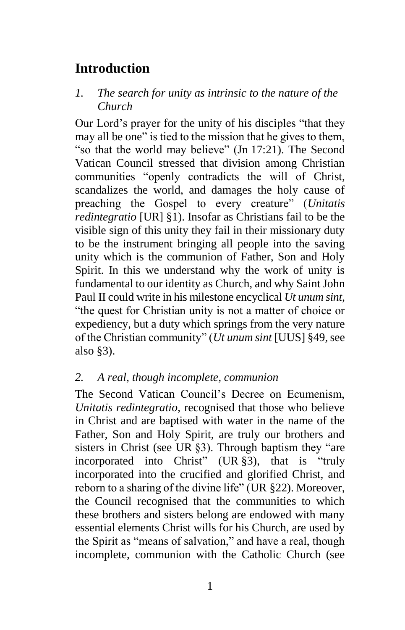# **Introduction**

#### *1. The search for unity as intrinsic to the nature of the Church*

Our Lord's prayer for the unity of his disciples "that they may all be one" is tied to the mission that he gives to them, "so that the world may believe" (Jn 17:21). The Second Vatican Council stressed that division among Christian communities "openly contradicts the will of Christ. scandalizes the world, and damages the holy cause of preaching the Gospel to every creature" (*Unitatis redintegratio* [UR] §1). Insofar as Christians fail to be the visible sign of this unity they fail in their missionary duty to be the instrument bringing all people into the saving unity which is the communion of Father, Son and Holy Spirit. In this we understand why the work of unity is fundamental to our identity as Church, and why Saint John Paul II could write in his milestone encyclical *Ut unum sint*, "the quest for Christian unity is not a matter of choice or expediency, but a duty which springs from the very nature of the Christian community" (*Ut unum sint* [UUS] §49, see also §3).

#### *2. A real, though incomplete, communion*

The Second Vatican Council's Decree on Ecumenism, *Unitatis redintegratio,* recognised that those who believe in Christ and are baptised with water in the name of the Father, Son and Holy Spirit, are truly our brothers and sisters in Christ (see UR §3). Through baptism they "are incorporated into Christ" (UR §3), that is "truly incorporated into the crucified and glorified Christ, and reborn to a sharing of the divine life" (UR §22). Moreover, the Council recognised that the communities to which these brothers and sisters belong are endowed with many essential elements Christ wills for his Church, are used by the Spirit as "means of salvation," and have a real, though incomplete, communion with the Catholic Church (see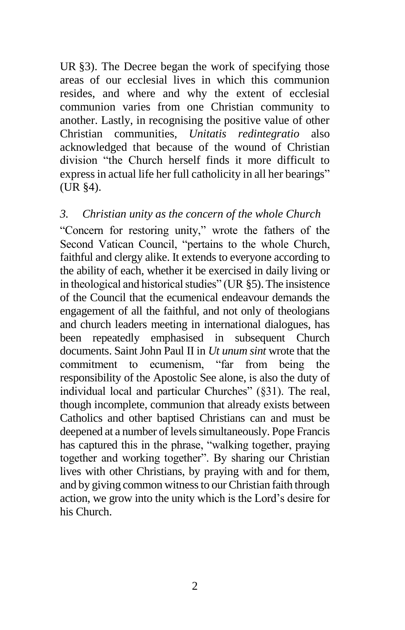UR §3). The Decree began the work of specifying those areas of our ecclesial lives in which this communion resides, and where and why the extent of ecclesial communion varies from one Christian community to another. Lastly, in recognising the positive value of other Christian communities, *Unitatis redintegratio* also acknowledged that because of the wound of Christian division "the Church herself finds it more difficult to express in actual life her full catholicity in all her bearings" (UR §4).

#### *3. Christian unity as the concern of the whole Church*

"Concern for restoring unity," wrote the fathers of the Second Vatican Council, "pertains to the whole Church, faithful and clergy alike. It extends to everyone according to the ability of each, whether it be exercised in daily living or in theological and historical studies" (UR §5). The insistence of the Council that the ecumenical endeavour demands the engagement of all the faithful, and not only of theologians and church leaders meeting in international dialogues, has been repeatedly emphasised in subsequent Church documents. Saint John Paul II in *Ut unum sint* wrote that the commitment to ecumenism. "far from being the commitment to ecumenism, "far from being the responsibility of the Apostolic See alone, is also the duty of individual local and particular Churches" (§31). The real, though incomplete, communion that already exists between Catholics and other baptised Christians can and must be deepened at a number of levels simultaneously. Pope Francis has captured this in the phrase, "walking together, praying together and working together". By sharing our Christian lives with other Christians, by praying with and for them, and by giving common witness to our Christian faith through action, we grow into the unity which is the Lord's desire for his Church.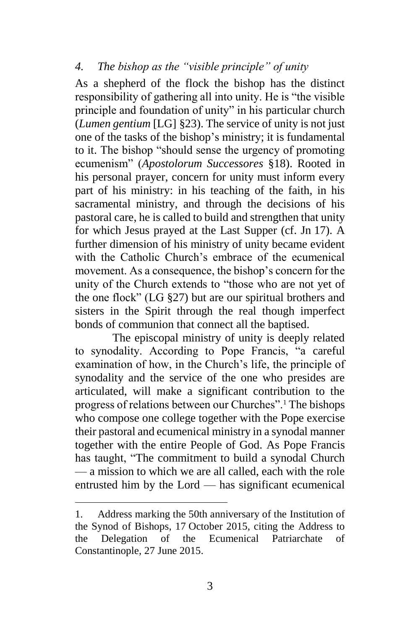#### *4. The bishop as the "visible principle" of unity*

As a shepherd of the flock the bishop has the distinct responsibility of gathering all into unity. He is "the visible principle and foundation of unity" in his particular church (*Lumen gentium* [LG] §23). The service of unity is not just one of the tasks of the bishop's ministry; it is fundamental to it. The bishop "should sense the urgency of promoting ecumenism" (*Apostolorum Successores* §18). Rooted in his personal prayer, concern for unity must inform every part of his ministry: in his teaching of the faith, in his sacramental ministry, and through the decisions of his pastoral care, he is called to build and strengthen that unity for which Jesus prayed at the Last Supper (cf. Jn 17). A further dimension of his ministry of unity became evident with the Catholic Church's embrace of the ecumenical movement. As a consequence, the bishop's concern for the unity of the Church extends to "those who are not yet of the one flock" (LG §27) but are our spiritual brothers and sisters in the Spirit through the real though imperfect bonds of communion that connect all the baptised.

The episcopal ministry of unity is deeply related to synodality. According to Pope Francis, "a careful examination of how, in the Church's life, the principle of synodality and the service of the one who presides are articulated, will make a significant contribution to the progress of relations between our Churches".<sup>1</sup> The bishops who compose one college together with the Pope exercise their pastoral and ecumenical ministry in a synodal manner together with the entire People of God. As Pope Francis has taught, "The commitment to build a synodal Church — a mission to which we are all called, each with the role entrusted him by the Lord — has significant ecumenical

l

<sup>1.</sup> Address marking the 50th anniversary of the Institution of the Synod of Bishops, 17 October 2015, citing the Address to the Delegation of the Ecumenical Patriarchate of Constantinople, 27 June 2015.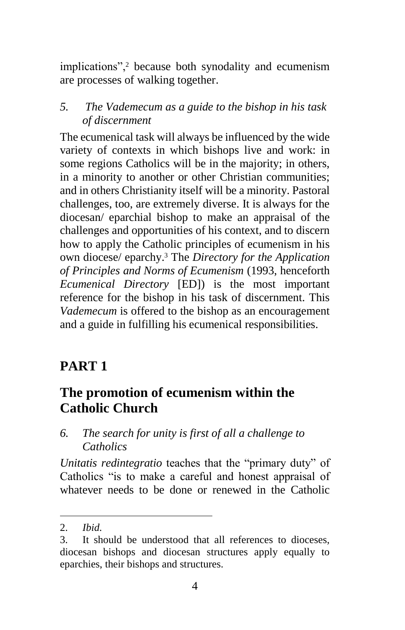implications",<sup>2</sup> because both synodality and ecumenism are processes of walking together.

*5. The Vademecum as a guide to the bishop in his task of discernment*

The ecumenical task will always be influenced by the wide variety of contexts in which bishops live and work: in some regions Catholics will be in the majority; in others, in a minority to another or other Christian communities; and in others Christianity itself will be a minority. Pastoral challenges, too, are extremely diverse. It is always for the diocesan/ eparchial bishop to make an appraisal of the challenges and opportunities of his context, and to discern how to apply the Catholic principles of ecumenism in his own diocese/ eparchy. <sup>3</sup> The *Directory for the Application of Principles and Norms of Ecumenism* (1993, henceforth *Ecumenical Directory* [ED]) is the most important reference for the bishop in his task of discernment. This *Vademecum* is offered to the bishop as an encouragement and a guide in fulfilling his ecumenical responsibilities.

# **PART 1**

# **The promotion of ecumenism within the Catholic Church**

*6. The search for unity is first of all a challenge to Catholics*

*Unitatis redintegratio* teaches that the "primary duty" of Catholics "is to make a careful and honest appraisal of whatever needs to be done or renewed in the Catholic

 $\overline{a}$ 

<sup>2.</sup> *Ibid.*

<sup>3.</sup> It should be understood that all references to dioceses, diocesan bishops and diocesan structures apply equally to eparchies, their bishops and structures.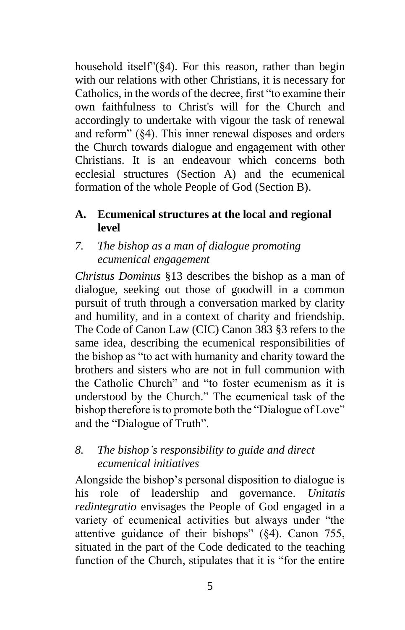household itself"(§4). For this reason, rather than begin with our relations with other Christians, it is necessary for Catholics, in the words of the decree, first "to examine their own faithfulness to Christ's will for the Church and accordingly to undertake with vigour the task of renewal and reform" (§4). This inner renewal disposes and orders the Church towards dialogue and engagement with other Christians. It is an endeavour which concerns both ecclesial structures (Section A) and the ecumenical formation of the whole People of God (Section B).

#### **A. Ecumenical structures at the local and regional level**

#### *7. The bishop as a man of dialogue promoting ecumenical engagement*

*Christus Dominus* §13 describes the bishop as a man of dialogue, seeking out those of goodwill in a common pursuit of truth through a conversation marked by clarity and humility, and in a context of charity and friendship. The Code of Canon Law (CIC) Canon 383 §3 refers to the same idea, describing the ecumenical responsibilities of the bishop as "to act with humanity and charity toward the brothers and sisters who are not in full communion with the Catholic Church" and "to foster ecumenism as it is understood by the Church." The ecumenical task of the bishop therefore is to promote both the "Dialogue of Love" and the "Dialogue of Truth".

### *8. The bishop's responsibility to guide and direct ecumenical initiatives*

Alongside the bishop's personal disposition to dialogue is his role of leadership and governance. *Unitatis redintegratio* envisages the People of God engaged in a variety of ecumenical activities but always under "the attentive guidance of their bishops" (§4). Canon 755, situated in the part of the Code dedicated to the teaching function of the Church, stipulates that it is "for the entire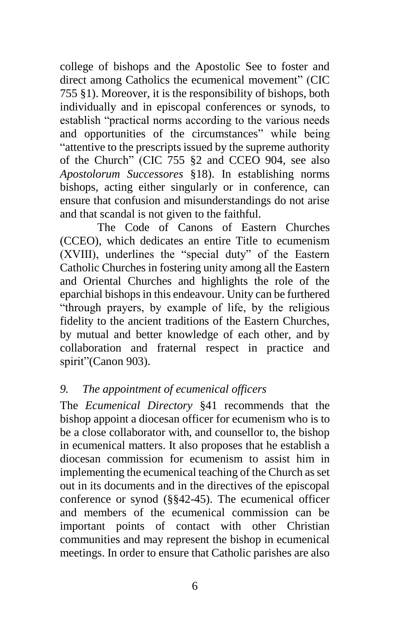college of bishops and the Apostolic See to foster and direct among Catholics the ecumenical movement" (CIC 755 §1). Moreover, it is the responsibility of bishops, both individually and in episcopal conferences or synods, to establish "practical norms according to the various needs and opportunities of the circumstances" while being "attentive to the prescripts issued by the supreme authority of the Church" (CIC 755 §2 and CCEO 904, see also *Apostolorum Successores* §18). In establishing norms bishops, acting either singularly or in conference, can ensure that confusion and misunderstandings do not arise and that scandal is not given to the faithful.

The Code of Canons of Eastern Churches (CCEO), which dedicates an entire Title to ecumenism (XVIII), underlines the "special duty" of the Eastern Catholic Churches in fostering unity among all the Eastern and Oriental Churches and highlights the role of the eparchial bishops in this endeavour. Unity can be furthered "through prayers, by example of life, by the religious fidelity to the ancient traditions of the Eastern Churches, by mutual and better knowledge of each other, and by collaboration and fraternal respect in practice and spirit"(Canon 903).

### *9. The appointment of ecumenical officers*

The *Ecumenical Directory* §41 recommends that the bishop appoint a diocesan officer for ecumenism who is to be a close collaborator with, and counsellor to, the bishop in ecumenical matters. It also proposes that he establish a diocesan commission for ecumenism to assist him in implementing the ecumenical teaching of the Church as set out in its documents and in the directives of the episcopal conference or synod (§§42-45). The ecumenical officer and members of the ecumenical commission can be important points of contact with other Christian communities and may represent the bishop in ecumenical meetings. In order to ensure that Catholic parishes are also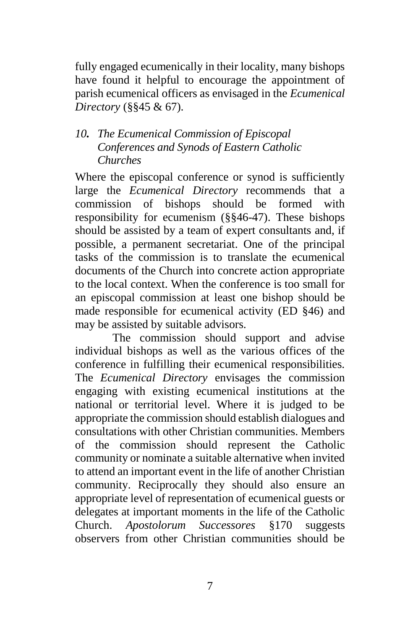fully engaged ecumenically in their locality, many bishops have found it helpful to encourage the appointment of parish ecumenical officers as envisaged in the *Ecumenical Directory* (§§45 & 67).

### *10. The Ecumenical Commission of Episcopal Conferences and Synods of Eastern Catholic Churches*

Where the episcopal conference or synod is sufficiently large the *Ecumenical Directory* recommends that a commission of bishops should be formed with responsibility for ecumenism (§§46-47). These bishops should be assisted by a team of expert consultants and, if possible, a permanent secretariat. One of the principal tasks of the commission is to translate the ecumenical documents of the Church into concrete action appropriate to the local context. When the conference is too small for an episcopal commission at least one bishop should be made responsible for ecumenical activity (ED §46) and may be assisted by suitable advisors.

The commission should support and advise individual bishops as well as the various offices of the conference in fulfilling their ecumenical responsibilities. The *Ecumenical Directory* envisages the commission engaging with existing ecumenical institutions at the national or territorial level. Where it is judged to be appropriate the commission should establish dialogues and consultations with other Christian communities. Members of the commission should represent the Catholic community or nominate a suitable alternative when invited to attend an important event in the life of another Christian community. Reciprocally they should also ensure an appropriate level of representation of ecumenical guests or delegates at important moments in the life of the Catholic Church. *Apostolorum Successores* §170 suggests observers from other Christian communities should be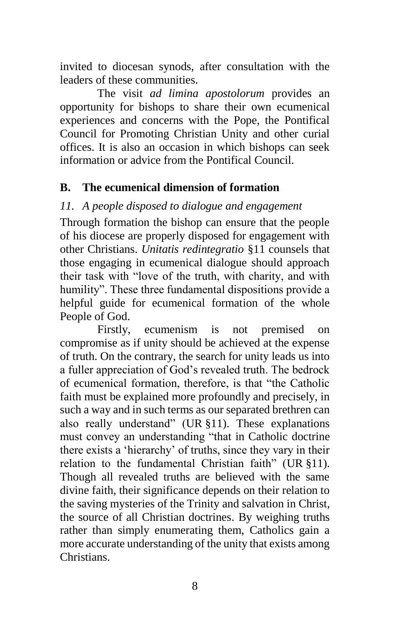invited to diocesan synods, after consultation with the leaders of these communities.

The visit *ad limina apostolorum* provides an opportunity for bishops to share their own ecumenical experiences and concerns with the Pope, the Pontifical Council for Promoting Christian Unity and other curial offices. It is also an occasion in which bishops can seek information or advice from the Pontifical Council.

#### **B. The ecumenical dimension of formation**

#### *11. A people disposed to dialogue and engagement*

Through formation the bishop can ensure that the people of his diocese are properly disposed for engagement with other Christians. *Unitatis redintegratio* §11 counsels that those engaging in ecumenical dialogue should approach their task with "love of the truth, with charity, and with humility". These three fundamental dispositions provide a helpful guide for ecumenical formation of the whole People of God.

Firstly, ecumenism is not premised on compromise as if unity should be achieved at the expense of truth. On the contrary, the search for unity leads us into a fuller appreciation of God's revealed truth. The bedrock of ecumenical formation, therefore, is that "the Catholic faith must be explained more profoundly and precisely, in such a way and in such terms as our separated brethren can also really understand" (UR §11). These explanations must convey an understanding "that in Catholic doctrine there exists a 'hierarchy' of truths, since they vary in their relation to the fundamental Christian faith" (UR §11). Though all revealed truths are believed with the same divine faith, their significance depends on their relation to the saving mysteries of the Trinity and salvation in Christ, the source of all Christian doctrines. By weighing truths rather than simply enumerating them, Catholics gain a more accurate understanding of the unity that exists among **Christians**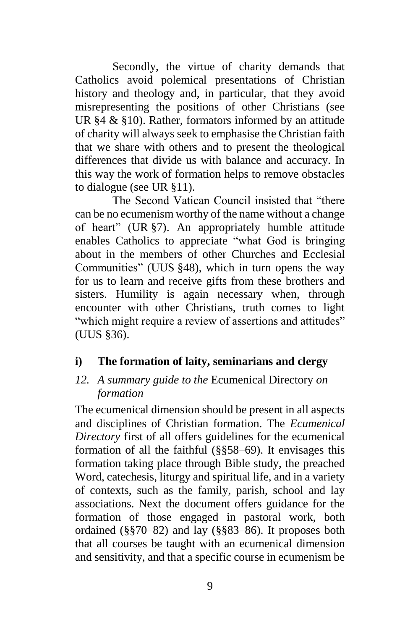Secondly, the virtue of charity demands that Catholics avoid polemical presentations of Christian history and theology and, in particular, that they avoid misrepresenting the positions of other Christians (see UR §4 & §10). Rather, formators informed by an attitude of charity will always seek to emphasise the Christian faith that we share with others and to present the theological differences that divide us with balance and accuracy. In this way the work of formation helps to remove obstacles to dialogue (see UR §11).

The Second Vatican Council insisted that "there can be no ecumenism worthy of the name without a change of heart" (UR §7). An appropriately humble attitude enables Catholics to appreciate "what God is bringing about in the members of other Churches and Ecclesial Communities" (UUS §48), which in turn opens the way for us to learn and receive gifts from these brothers and sisters. Humility is again necessary when, through encounter with other Christians, truth comes to light "which might require a review of assertions and attitudes" (UUS §36).

#### **i) The formation of laity, seminarians and clergy**

### *12. A summary guide to the* Ecumenical Directory *on formation*

The ecumenical dimension should be present in all aspects and disciplines of Christian formation. The *Ecumenical Directory* first of all offers guidelines for the ecumenical formation of all the faithful (§§58–69). It envisages this formation taking place through Bible study, the preached Word, catechesis, liturgy and spiritual life, and in a variety of contexts, such as the family, parish, school and lay associations. Next the document offers guidance for the formation of those engaged in pastoral work, both ordained (§§70–82) and lay (§§83–86). It proposes both that all courses be taught with an ecumenical dimension and sensitivity, and that a specific course in ecumenism be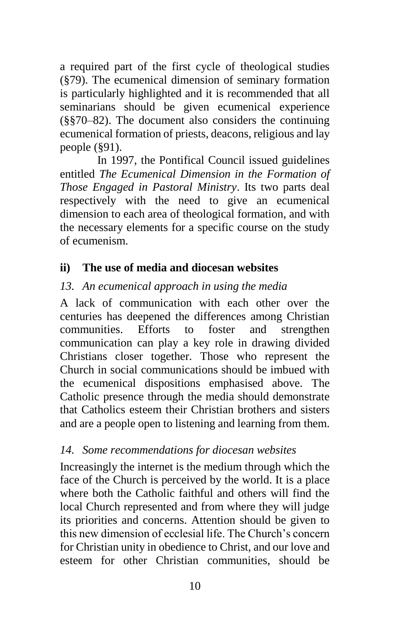a required part of the first cycle of theological studies (§79). The ecumenical dimension of seminary formation is particularly highlighted and it is recommended that all seminarians should be given ecumenical experience (§§70–82). The document also considers the continuing ecumenical formation of priests, deacons, religious and lay people (§91).

In 1997, the Pontifical Council issued guidelines entitled *The Ecumenical Dimension in the Formation of Those Engaged in Pastoral Ministry*. Its two parts deal respectively with the need to give an ecumenical dimension to each area of theological formation, and with the necessary elements for a specific course on the study of ecumenism.

#### **ii) The use of media and diocesan websites**

#### *13. An ecumenical approach in using the media*

A lack of communication with each other over the centuries has deepened the differences among Christian communities. Efforts to foster and strengthen communication can play a key role in drawing divided Christians closer together. Those who represent the Church in social communications should be imbued with the ecumenical dispositions emphasised above. The Catholic presence through the media should demonstrate that Catholics esteem their Christian brothers and sisters and are a people open to listening and learning from them.

#### *14. Some recommendations for diocesan websites*

Increasingly the internet is the medium through which the face of the Church is perceived by the world. It is a place where both the Catholic faithful and others will find the local Church represented and from where they will judge its priorities and concerns. Attention should be given to this new dimension of ecclesial life. The Church's concern for Christian unity in obedience to Christ, and our love and esteem for other Christian communities, should be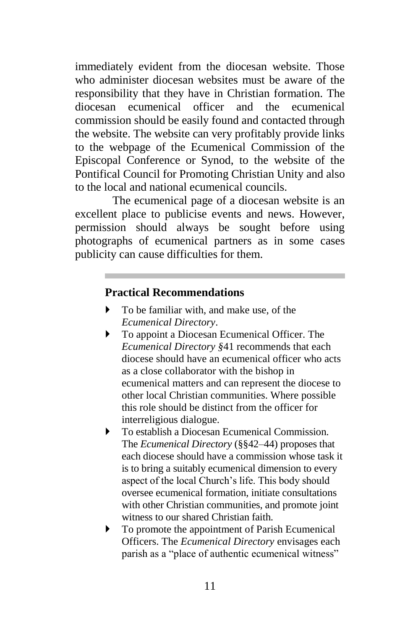immediately evident from the diocesan website. Those who administer diocesan websites must be aware of the responsibility that they have in Christian formation. The diocesan ecumenical officer and the ecumenical commission should be easily found and contacted through the website. The website can very profitably provide links to the webpage of the Ecumenical Commission of the Episcopal Conference or Synod, to the website of the Pontifical Council for Promoting Christian Unity and also to the local and national ecumenical councils.

The ecumenical page of a diocesan website is an excellent place to publicise events and news. However, permission should always be sought before using photographs of ecumenical partners as in some cases publicity can cause difficulties for them.

#### **Practical Recommendations**

- $\triangleright$  To be familiar with, and make use, of the *Ecumenical Directory*.
- To appoint a Diocesan Ecumenical Officer. The *Ecumenical Directory §*41 recommends that each diocese should have an ecumenical officer who acts as a close collaborator with the bishop in ecumenical matters and can represent the diocese to other local Christian communities. Where possible this role should be distinct from the officer for interreligious dialogue.
- To establish a Diocesan Ecumenical Commission. The *Ecumenical Directory* (§§42–44) proposes that each diocese should have a commission whose task it is to bring a suitably ecumenical dimension to every aspect of the local Church's life. This body should oversee ecumenical formation, initiate consultations with other Christian communities, and promote joint witness to our shared Christian faith.
- $\triangleright$  To promote the appointment of Parish Ecumenical Officers. The *Ecumenical Directory* envisages each parish as a "place of authentic ecumenical witness"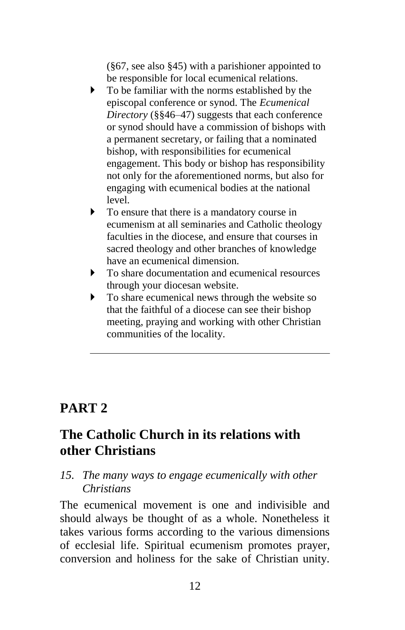(§67, see also §45) with a parishioner appointed to be responsible for local ecumenical relations.

- $\triangleright$  To be familiar with the norms established by the episcopal conference or synod. The *Ecumenical Directory* (§§46–47) suggests that each conference or synod should have a commission of bishops with a permanent secretary, or failing that a nominated bishop, with responsibilities for ecumenical engagement. This body or bishop has responsibility not only for the aforementioned norms, but also for engaging with ecumenical bodies at the national level.
- To ensure that there is a mandatory course in ecumenism at all seminaries and Catholic theology faculties in the diocese, and ensure that courses in sacred theology and other branches of knowledge have an ecumenical dimension.
- $\blacktriangleright$  To share documentation and ecumenical resources through your diocesan website.
- To share ecumenical news through the website so that the faithful of a diocese can see their bishop meeting, praying and working with other Christian communities of the locality.

# **PART 2**

# **The Catholic Church in its relations with other Christians**

#### *15. The many ways to engage ecumenically with other Christians*

The ecumenical movement is one and indivisible and should always be thought of as a whole. Nonetheless it takes various forms according to the various dimensions of ecclesial life. Spiritual ecumenism promotes prayer, conversion and holiness for the sake of Christian unity.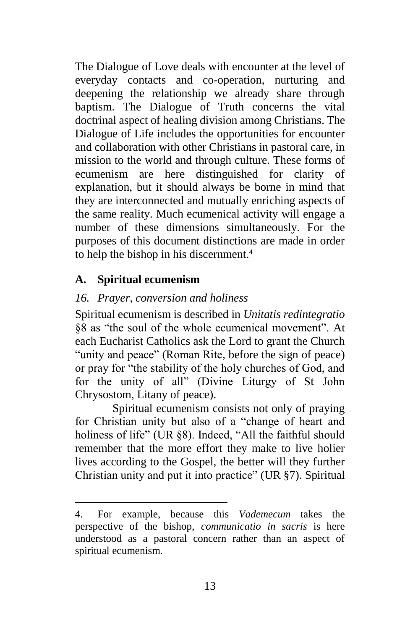The Dialogue of Love deals with encounter at the level of everyday contacts and co-operation, nurturing and deepening the relationship we already share through baptism. The Dialogue of Truth concerns the vital doctrinal aspect of healing division among Christians. The Dialogue of Life includes the opportunities for encounter and collaboration with other Christians in pastoral care, in mission to the world and through culture. These forms of ecumenism are here distinguished for clarity of explanation, but it should always be borne in mind that they are interconnected and mutually enriching aspects of the same reality. Much ecumenical activity will engage a number of these dimensions simultaneously. For the purposes of this document distinctions are made in order to help the bishop in his discernment.<sup>4</sup>

### **A. Spiritual ecumenism**

l

### *16. Prayer, conversion and holiness*

Spiritual ecumenism is described in *Unitatis redintegratio* §8 as "the soul of the whole ecumenical movement". At each Eucharist Catholics ask the Lord to grant the Church "unity and peace" (Roman Rite, before the sign of peace) or pray for "the stability of the holy churches of God, and for the unity of all" (Divine Liturgy of St John Chrysostom, Litany of peace).

Spiritual ecumenism consists not only of praying for Christian unity but also of a "change of heart and holiness of life" (UR §8). Indeed, "All the faithful should remember that the more effort they make to live holier lives according to the Gospel, the better will they further Christian unity and put it into practice" (UR §7). Spiritual

<sup>4.</sup> For example, because this *Vademecum* takes the perspective of the bishop, *communicatio in sacris* is here understood as a pastoral concern rather than an aspect of spiritual ecumenism.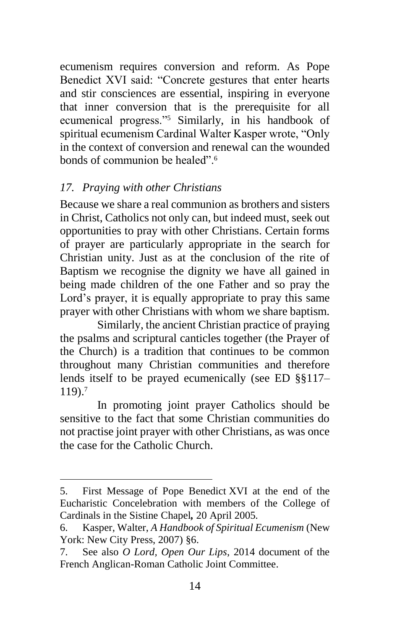ecumenism requires conversion and reform. As Pope Benedict XVI said: "Concrete gestures that enter hearts and stir consciences are essential, inspiring in everyone that inner conversion that is the prerequisite for all ecumenical progress."<sup>5</sup> Similarly, in his handbook of spiritual ecumenism Cardinal Walter Kasper wrote, "Only in the context of conversion and renewal can the wounded bonds of communion be healed".<sup>6</sup>

### *17. Praying with other Christians*

 $\overline{a}$ 

Because we share a real communion as brothers and sisters in Christ, Catholics not only can, but indeed must, seek out opportunities to pray with other Christians. Certain forms of prayer are particularly appropriate in the search for Christian unity. Just as at the conclusion of the rite of Baptism we recognise the dignity we have all gained in being made children of the one Father and so pray the Lord's prayer, it is equally appropriate to pray this same prayer with other Christians with whom we share baptism.

Similarly, the ancient Christian practice of praying the psalms and scriptural canticles together (the Prayer of the Church) is a tradition that continues to be common throughout many Christian communities and therefore lends itself to be prayed ecumenically (see ED §§117– 119). 7

In promoting joint prayer Catholics should be sensitive to the fact that some Christian communities do not practise joint prayer with other Christians, as was once the case for the Catholic Church.

<sup>5.</sup> First Message of Pope Benedict XVI at the end of the Eucharistic Concelebration with members of the College of Cardinals in the Sistine Chapel*,* 20 April 2005*.*

<sup>6.</sup> Kasper, Walter, *A Handbook of Spiritual Ecumenism* (New York: New City Press, 2007) §6.

<sup>7.</sup> See also *O Lord, Open Our Lips*, 2014 document of the French Anglican-Roman Catholic Joint Committee.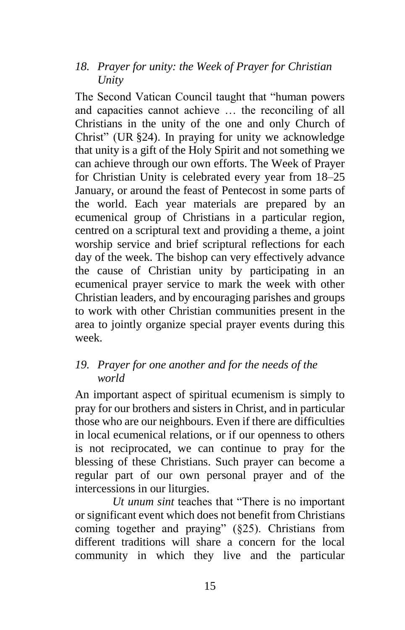#### *18. Prayer for unity: the Week of Prayer for Christian Unity*

The Second Vatican Council taught that "human powers and capacities cannot achieve … the reconciling of all Christians in the unity of the one and only Church of Christ" (UR §24). In praying for unity we acknowledge that unity is a gift of the Holy Spirit and not something we can achieve through our own efforts. The Week of Prayer for Christian Unity is celebrated every year from 18–25 January, or around the feast of Pentecost in some parts of the world. Each year materials are prepared by an ecumenical group of Christians in a particular region, centred on a scriptural text and providing a theme, a joint worship service and brief scriptural reflections for each day of the week. The bishop can very effectively advance the cause of Christian unity by participating in an ecumenical prayer service to mark the week with other Christian leaders, and by encouraging parishes and groups to work with other Christian communities present in the area to jointly organize special prayer events during this week.

### *19. Prayer for one another and for the needs of the world*

An important aspect of spiritual ecumenism is simply to pray for our brothers and sisters in Christ, and in particular those who are our neighbours. Even if there are difficulties in local ecumenical relations, or if our openness to others is not reciprocated, we can continue to pray for the blessing of these Christians. Such prayer can become a regular part of our own personal prayer and of the intercessions in our liturgies.

*Ut unum sint* teaches that "There is no important or significant event which does not benefit from Christians coming together and praying" (§25). Christians from different traditions will share a concern for the local community in which they live and the particular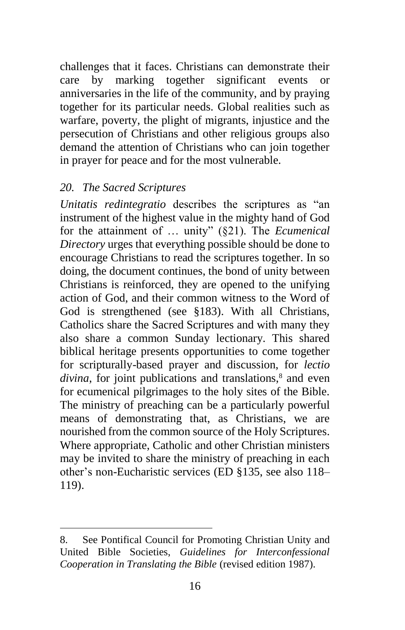challenges that it faces. Christians can demonstrate their care by marking together significant events or anniversaries in the life of the community, and by praying together for its particular needs. Global realities such as warfare, poverty, the plight of migrants, injustice and the persecution of Christians and other religious groups also demand the attention of Christians who can join together in prayer for peace and for the most vulnerable.

#### *20. The Sacred Scriptures*

l

*Unitatis redintegratio* describes the scriptures as "an instrument of the highest value in the mighty hand of God for the attainment of … unity" (§21). The *Ecumenical Directory* urges that everything possible should be done to encourage Christians to read the scriptures together. In so doing, the document continues, the bond of unity between Christians is reinforced, they are opened to the unifying action of God, and their common witness to the Word of God is strengthened (see §183). With all Christians, Catholics share the Sacred Scriptures and with many they also share a common Sunday lectionary. This shared biblical heritage presents opportunities to come together for scripturally-based prayer and discussion, for *lectio divina*, for joint publications and translations,<sup>8</sup> and even for ecumenical pilgrimages to the holy sites of the Bible. The ministry of preaching can be a particularly powerful means of demonstrating that, as Christians, we are nourished from the common source of the Holy Scriptures. Where appropriate, Catholic and other Christian ministers may be invited to share the ministry of preaching in each other's non-Eucharistic services (ED §135, see also 118– 119).

<sup>8.</sup> See Pontifical Council for Promoting Christian Unity and United Bible Societies, *Guidelines for Interconfessional Cooperation in Translating the Bible* (revised edition 1987).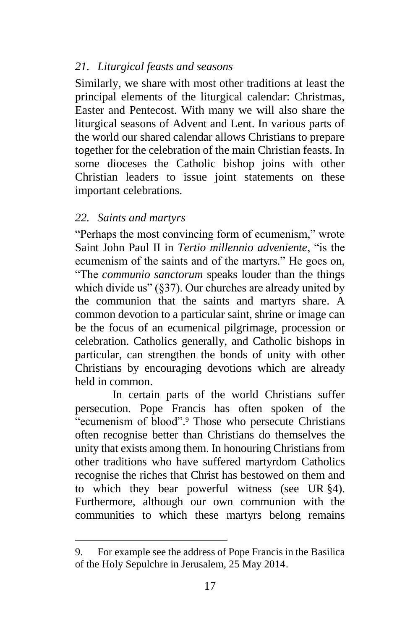### *21. Liturgical feasts and seasons*

Similarly, we share with most other traditions at least the principal elements of the liturgical calendar: Christmas, Easter and Pentecost. With many we will also share the liturgical seasons of Advent and Lent. In various parts of the world our shared calendar allows Christians to prepare together for the celebration of the main Christian feasts. In some dioceses the Catholic bishop joins with other Christian leaders to issue joint statements on these important celebrations.

### *22. Saints and martyrs*

l

"Perhaps the most convincing form of ecumenism," wrote Saint John Paul II in *Tertio millennio adveniente*, "is the ecumenism of the saints and of the martyrs." He goes on, "The *communio sanctorum* speaks louder than the things which divide us" (§37). Our churches are already united by the communion that the saints and martyrs share. A common devotion to a particular saint, shrine or image can be the focus of an ecumenical pilgrimage, procession or celebration. Catholics generally, and Catholic bishops in particular, can strengthen the bonds of unity with other Christians by encouraging devotions which are already held in common.

In certain parts of the world Christians suffer persecution. Pope Francis has often spoken of the "ecumenism of blood".<sup>9</sup> Those who persecute Christians often recognise better than Christians do themselves the unity that exists among them. In honouring Christians from other traditions who have suffered martyrdom Catholics recognise the riches that Christ has bestowed on them and to which they bear powerful witness (see UR §4). Furthermore, although our own communion with the communities to which these martyrs belong remains

<sup>9.</sup> For example see the address of Pope Francis in the Basilica of the Holy Sepulchre in Jerusalem, 25 May 2014.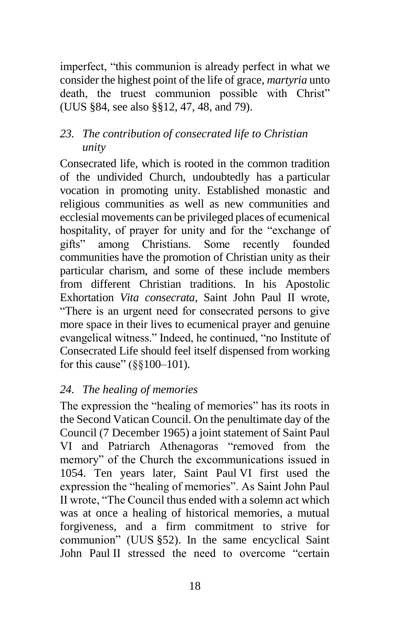imperfect, "this communion is already perfect in what we consider the highest point of the life of grace, *martyria* unto death, the truest communion possible with Christ" (UUS §84, see also §§12, 47, 48, and 79).

#### *23. The contribution of consecrated life to Christian unity*

Consecrated life, which is rooted in the common tradition of the undivided Church, undoubtedly has a particular vocation in promoting unity. Established monastic and religious communities as well as new communities and ecclesial movements can be privileged places of ecumenical hospitality, of prayer for unity and for the "exchange of gifts" among Christians. Some recently founded communities have the promotion of Christian unity as their particular charism, and some of these include members from different Christian traditions. In his Apostolic Exhortation *Vita consecrata*, Saint John Paul II wrote, "There is an urgent need for consecrated persons to give more space in their lives to ecumenical prayer and genuine evangelical witness." Indeed, he continued, "no Institute of Consecrated Life should feel itself dispensed from working for this cause" (§§100–101).

#### *24. The healing of memories*

The expression the "healing of memories" has its roots in the Second Vatican Council. On the penultimate day of the Council (7 December 1965) a joint statement of Saint Paul VI and Patriarch Athenagoras "removed from the memory" of the Church the excommunications issued in 1054. Ten years later, Saint Paul VI first used the expression the "healing of memories". As Saint John Paul II wrote, "The Council thus ended with a solemn act which was at once a healing of historical memories, a mutual forgiveness, and a firm commitment to strive for communion" (UUS §52). In the same encyclical Saint John Paul II stressed the need to overcome "certain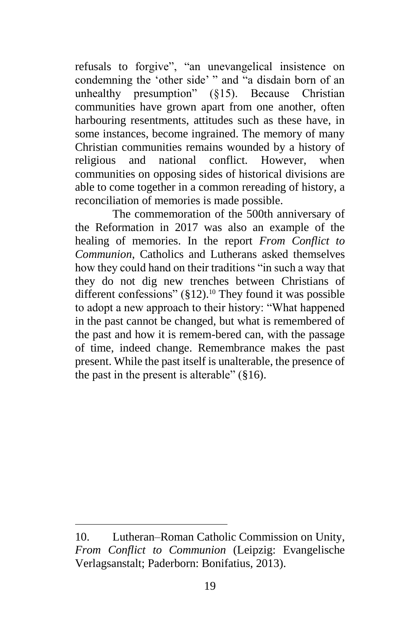refusals to forgive", "an unevangelical insistence on condemning the 'other side' " and "a disdain born of an unhealthy presumption" (§15). Because Christian communities have grown apart from one another, often harbouring resentments, attitudes such as these have, in some instances, become ingrained. The memory of many Christian communities remains wounded by a history of religious and national conflict. However, when communities on opposing sides of historical divisions are able to come together in a common rereading of history, a reconciliation of memories is made possible.

The commemoration of the 500th anniversary of the Reformation in 2017 was also an example of the healing of memories. In the report *From Conflict to Communion*, Catholics and Lutherans asked themselves how they could hand on their traditions "in such a way that they do not dig new trenches between Christians of different confessions" (§12).<sup>10</sup> They found it was possible to adopt a new approach to their history: "What happened in the past cannot be changed, but what is remembered of the past and how it is remem-bered can, with the passage of time, indeed change. Remembrance makes the past present. While the past itself is unalterable, the presence of the past in the present is alterable" (§16).

l

<sup>10.</sup> Lutheran–Roman Catholic Commission on Unity*, From Conflict to Communion* (Leipzig: Evangelische Verlagsanstalt; Paderborn: Bonifatius, 2013).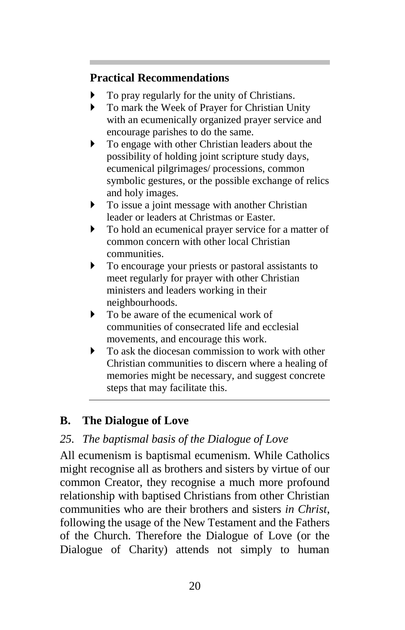# **Practical Recommendations**

- To pray regularly for the unity of Christians.
- To mark the Week of Prayer for Christian Unity with an ecumenically organized prayer service and encourage parishes to do the same.
- $\triangleright$  To engage with other Christian leaders about the possibility of holding joint scripture study days, ecumenical pilgrimages/ processions, common symbolic gestures, or the possible exchange of relics and holy images.
- $\triangleright$  To issue a joint message with another Christian leader or leaders at Christmas or Easter.
- $\triangleright$  To hold an ecumenical prayer service for a matter of common concern with other local Christian communities.
- To encourage your priests or pastoral assistants to meet regularly for prayer with other Christian ministers and leaders working in their neighbourhoods.
- $\blacktriangleright$  To be aware of the ecumenical work of communities of consecrated life and ecclesial movements, and encourage this work.
- $\triangleright$  To ask the diocesan commission to work with other Christian communities to discern where a healing of memories might be necessary, and suggest concrete steps that may facilitate this.

# **B. The Dialogue of Love**

# *25. The baptismal basis of the Dialogue of Love*

All ecumenism is baptismal ecumenism. While Catholics might recognise all as brothers and sisters by virtue of our common Creator, they recognise a much more profound relationship with baptised Christians from other Christian communities who are their brothers and sisters *in Christ*, following the usage of the New Testament and the Fathers of the Church. Therefore the Dialogue of Love (or the Dialogue of Charity) attends not simply to human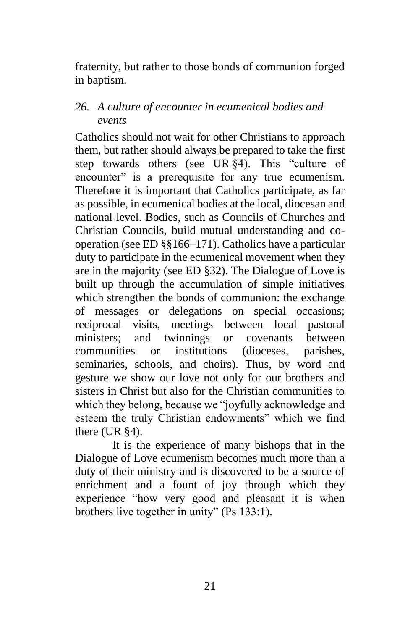fraternity, but rather to those bonds of communion forged in baptism.

#### *26. A culture of encounter in ecumenical bodies and events*

Catholics should not wait for other Christians to approach them, but rather should always be prepared to take the first step towards others (see UR §4). This "culture of encounter" is a prerequisite for any true ecumenism. Therefore it is important that Catholics participate, as far as possible, in ecumenical bodies at the local, diocesan and national level. Bodies, such as Councils of Churches and Christian Councils, build mutual understanding and cooperation (see ED §§166–171). Catholics have a particular duty to participate in the ecumenical movement when they are in the majority (see ED §32). The Dialogue of Love is built up through the accumulation of simple initiatives which strengthen the bonds of communion: the exchange of messages or delegations on special occasions; reciprocal visits, meetings between local pastoral ministers; and twinnings or covenants between communities or institutions (dioceses, parishes, seminaries, schools, and choirs). Thus, by word and gesture we show our love not only for our brothers and sisters in Christ but also for the Christian communities to which they belong, because we "joyfully acknowledge and esteem the truly Christian endowments" which we find there (UR §4).

It is the experience of many bishops that in the Dialogue of Love ecumenism becomes much more than a duty of their ministry and is discovered to be a source of enrichment and a fount of joy through which they experience "how very good and pleasant it is when brothers live together in unity" (Ps 133:1).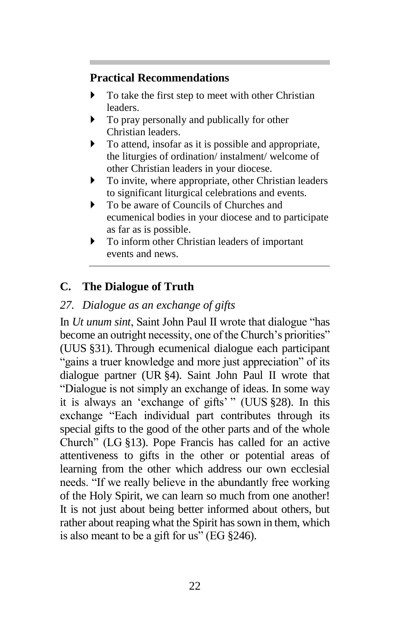### **Practical Recommendations**

- To take the first step to meet with other Christian leaders.
- $\triangleright$  To pray personally and publically for other Christian leaders.
- $\triangleright$  To attend, insofar as it is possible and appropriate, the liturgies of ordination/ instalment/ welcome of other Christian leaders in your diocese.
- To invite, where appropriate, other Christian leaders to significant liturgical celebrations and events.
- ▶ To be aware of Councils of Churches and ecumenical bodies in your diocese and to participate as far as is possible.
- To inform other Christian leaders of important events and news.

# **C. The Dialogue of Truth**

# *27. Dialogue as an exchange of gifts*

In *Ut unum sint*, Saint John Paul II wrote that dialogue "has become an outright necessity, one of the Church's priorities" (UUS §31). Through ecumenical dialogue each participant "gains a truer knowledge and more just appreciation" of its dialogue partner (UR §4). Saint John Paul II wrote that "Dialogue is not simply an exchange of ideas. In some way it is always an 'exchange of gifts' " (UUS §28). In this exchange "Each individual part contributes through its special gifts to the good of the other parts and of the whole Church" (LG §13). Pope Francis has called for an active attentiveness to gifts in the other or potential areas of learning from the other which address our own ecclesial needs. "If we really believe in the abundantly free working of the Holy Spirit, we can learn so much from one another! It is not just about being better informed about others, but rather about reaping what the Spirit has sown in them, which is also meant to be a gift for us" (EG §246).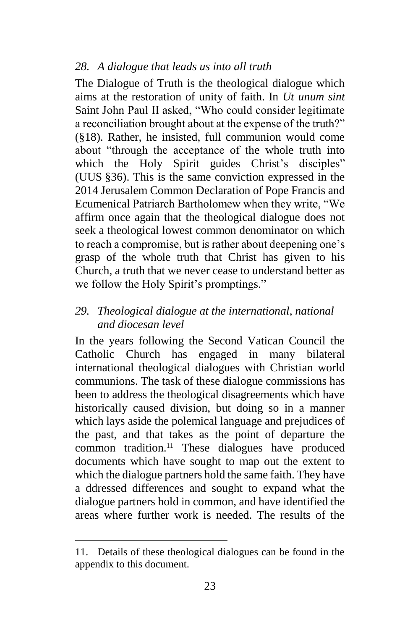### *28. A dialogue that leads us into all truth*

The Dialogue of Truth is the theological dialogue which aims at the restoration of unity of faith. In *Ut unum sint* Saint John Paul II asked, "Who could consider legitimate a reconciliation brought about at the expense of the truth?" (§18). Rather, he insisted, full communion would come about "through the acceptance of the whole truth into which the Holy Spirit guides Christ's disciples" (UUS §36). This is the same conviction expressed in the 2014 Jerusalem Common Declaration of Pope Francis and Ecumenical Patriarch Bartholomew when they write, "We affirm once again that the theological dialogue does not seek a theological lowest common denominator on which to reach a compromise, but is rather about deepening one's grasp of the whole truth that Christ has given to his Church, a truth that we never cease to understand better as we follow the Holy Spirit's promptings."

#### *29. Theological dialogue at the international, national and diocesan level*

In the years following the Second Vatican Council the Catholic Church has engaged in many bilateral international theological dialogues with Christian world communions. The task of these dialogue commissions has been to address the theological disagreements which have historically caused division, but doing so in a manner which lays aside the polemical language and prejudices of the past, and that takes as the point of departure the common tradition.<sup>11</sup> These dialogues have produced documents which have sought to map out the extent to which the dialogue partners hold the same faith. They have a ddressed differences and sought to expand what the dialogue partners hold in common, and have identified the areas where further work is needed. The results of the

l

<sup>11.</sup> Details of these theological dialogues can be found in the appendix to this document.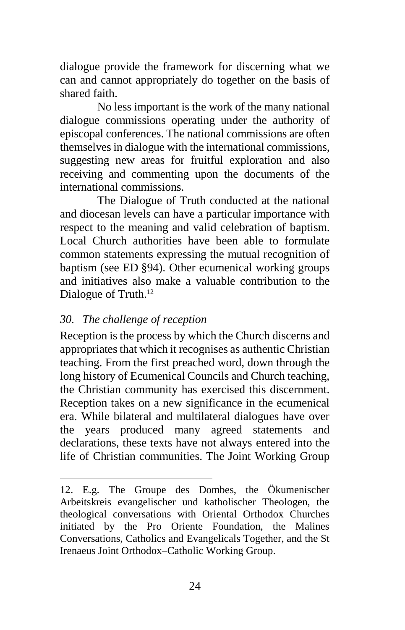dialogue provide the framework for discerning what we can and cannot appropriately do together on the basis of shared faith.

No less important is the work of the many national dialogue commissions operating under the authority of episcopal conferences. The national commissions are often themselves in dialogue with the international commissions, suggesting new areas for fruitful exploration and also receiving and commenting upon the documents of the international commissions.

The Dialogue of Truth conducted at the national and diocesan levels can have a particular importance with respect to the meaning and valid celebration of baptism. Local Church authorities have been able to formulate common statements expressing the mutual recognition of baptism (see ED §94). Other ecumenical working groups and initiatives also make a valuable contribution to the Dialogue of Truth.<sup>12</sup>

#### *30. The challenge of reception*

 $\overline{a}$ 

Reception is the process by which the Church discerns and appropriates that which it recognises as authentic Christian teaching. From the first preached word, down through the long history of Ecumenical Councils and Church teaching, the Christian community has exercised this discernment. Reception takes on a new significance in the ecumenical era. While bilateral and multilateral dialogues have over the years produced many agreed statements and declarations, these texts have not always entered into the life of Christian communities. The Joint Working Group

<sup>12.</sup> E.g. The Groupe des Dombes, the Ökumenischer Arbeitskreis evangelischer und katholischer Theologen, the theological conversations with Oriental Orthodox Churches initiated by the Pro Oriente Foundation, the Malines Conversations, Catholics and Evangelicals Together, and the St Irenaeus Joint Orthodox–Catholic Working Group.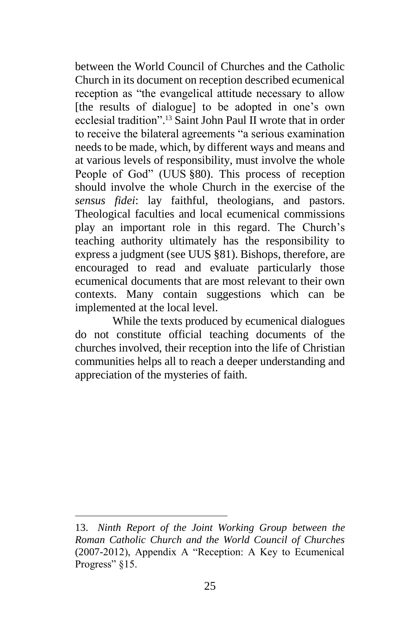between the World Council of Churches and the Catholic Church in its document on reception described ecumenical reception as "the evangelical attitude necessary to allow [the results of dialogue] to be adopted in one's own ecclesial tradition". <sup>13</sup> Saint John Paul II wrote that in order to receive the bilateral agreements "a serious examination needs to be made, which, by different ways and means and at various levels of responsibility, must involve the whole People of God" (UUS §80). This process of reception should involve the whole Church in the exercise of the *sensus fidei*: lay faithful, theologians, and pastors. Theological faculties and local ecumenical commissions play an important role in this regard. The Church's teaching authority ultimately has the responsibility to express a judgment (see UUS §81). Bishops, therefore, are encouraged to read and evaluate particularly those ecumenical documents that are most relevant to their own contexts. Many contain suggestions which can be implemented at the local level.

While the texts produced by ecumenical dialogues do not constitute official teaching documents of the churches involved, their reception into the life of Christian communities helps all to reach a deeper understanding and appreciation of the mysteries of faith.

 $\overline{a}$ 

<sup>13.</sup> *Ninth Report of the Joint Working Group between the Roman Catholic Church and the World Council of Churches* (2007-2012), Appendix A "Reception: A Key to Ecumenical Progress"  $§15$ .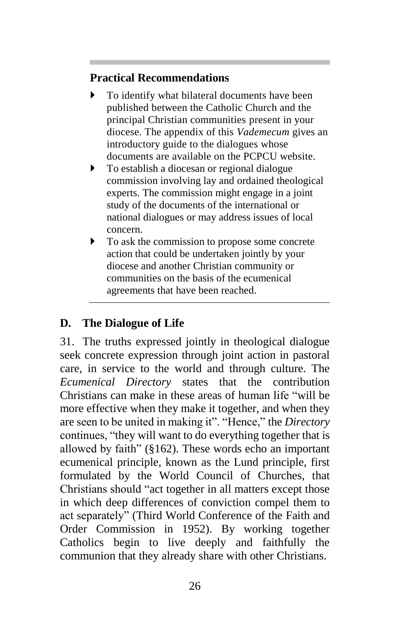# **Practical Recommendations**

- To identify what bilateral documents have been published between the Catholic Church and the principal Christian communities present in your diocese. The appendix of this *Vademecum* gives an introductory guide to the dialogues whose documents are available on the PCPCU website.
- $\triangleright$  To establish a diocesan or regional dialogue commission involving lay and ordained theological experts. The commission might engage in a joint study of the documents of the international or national dialogues or may address issues of local concern.
- $\triangleright$  To ask the commission to propose some concrete action that could be undertaken jointly by your diocese and another Christian community or communities on the basis of the ecumenical agreements that have been reached.

# **D. The Dialogue of Life**

31. The truths expressed jointly in theological dialogue seek concrete expression through joint action in pastoral care, in service to the world and through culture. The *Ecumenical Directory* states that the contribution Christians can make in these areas of human life "will be more effective when they make it together, and when they are seen to be united in making it". "Hence," the *Directory* continues, "they will want to do everything together that is allowed by faith" (§162). These words echo an important ecumenical principle, known as the Lund principle, first formulated by the World Council of Churches, that Christians should "act together in all matters except those in which deep differences of conviction compel them to act separately" (Third World Conference of the Faith and Order Commission in 1952). By working together Catholics begin to live deeply and faithfully the communion that they already share with other Christians.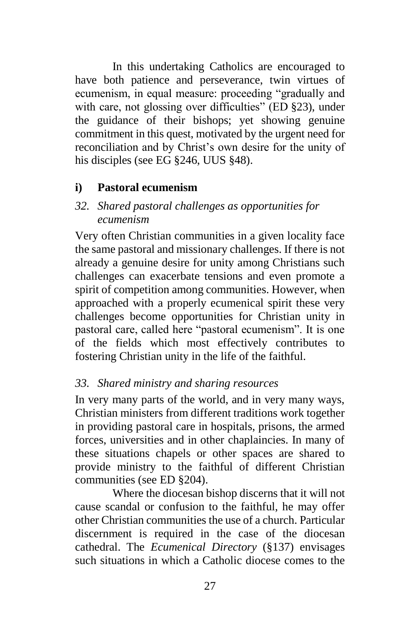In this undertaking Catholics are encouraged to have both patience and perseverance, twin virtues of ecumenism, in equal measure: proceeding "gradually and with care, not glossing over difficulties" (ED §23), under the guidance of their bishops; yet showing genuine commitment in this quest, motivated by the urgent need for reconciliation and by Christ's own desire for the unity of his disciples (see EG §246, UUS §48).

### **i) Pastoral ecumenism**

### *32. Shared pastoral challenges as opportunities for ecumenism*

Very often Christian communities in a given locality face the same pastoral and missionary challenges. If there is not already a genuine desire for unity among Christians such challenges can exacerbate tensions and even promote a spirit of competition among communities. However, when approached with a properly ecumenical spirit these very challenges become opportunities for Christian unity in pastoral care, called here "pastoral ecumenism". It is one of the fields which most effectively contributes to fostering Christian unity in the life of the faithful.

### *33. Shared ministry and sharing resources*

In very many parts of the world, and in very many ways, Christian ministers from different traditions work together in providing pastoral care in hospitals, prisons, the armed forces, universities and in other chaplaincies. In many of these situations chapels or other spaces are shared to provide ministry to the faithful of different Christian communities (see ED §204).

Where the diocesan bishop discerns that it will not cause scandal or confusion to the faithful, he may offer other Christian communities the use of a church. Particular discernment is required in the case of the diocesan cathedral. The *Ecumenical Directory* (§137) envisages such situations in which a Catholic diocese comes to the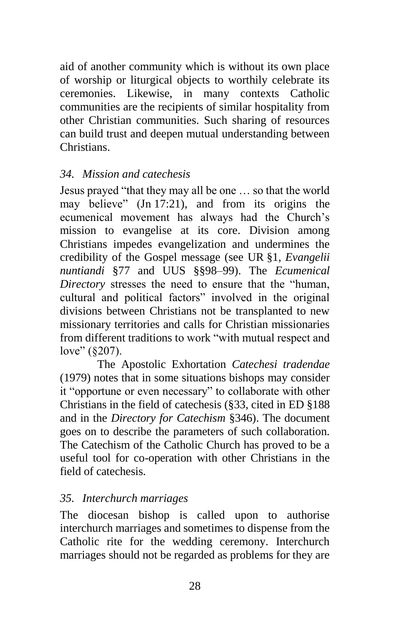aid of another community which is without its own place of worship or liturgical objects to worthily celebrate its ceremonies. Likewise, in many contexts Catholic communities are the recipients of similar hospitality from other Christian communities. Such sharing of resources can build trust and deepen mutual understanding between Christians.

### *34. Mission and catechesis*

Jesus prayed "that they may all be one … so that the world may believe" (Jn 17:21), and from its origins the ecumenical movement has always had the Church's mission to evangelise at its core. Division among Christians impedes evangelization and undermines the credibility of the Gospel message (see UR §1, *Evangelii nuntiandi* §77 and UUS §§98–99). The *Ecumenical Directory* stresses the need to ensure that the "human, cultural and political factors" involved in the original divisions between Christians not be transplanted to new missionary territories and calls for Christian missionaries from different traditions to work "with mutual respect and love" (\$207).

The Apostolic Exhortation *Catechesi tradendae* (1979) notes that in some situations bishops may consider it "opportune or even necessary" to collaborate with other Christians in the field of catechesis (§33, cited in ED §188 and in the *Directory for Catechism* §346). The document goes on to describe the parameters of such collaboration. The Catechism of the Catholic Church has proved to be a useful tool for co-operation with other Christians in the field of catechesis.

# *35. Interchurch marriages*

The diocesan bishop is called upon to authorise interchurch marriages and sometimes to dispense from the Catholic rite for the wedding ceremony. Interchurch marriages should not be regarded as problems for they are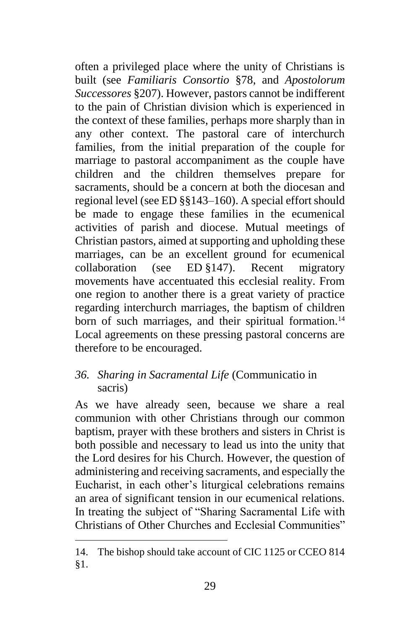often a privileged place where the unity of Christians is built (see *Familiaris Consortio* §78, and *Apostolorum Successores* §207). However, pastors cannot be indifferent to the pain of Christian division which is experienced in the context of these families, perhaps more sharply than in any other context. The pastoral care of interchurch families, from the initial preparation of the couple for marriage to pastoral accompaniment as the couple have children and the children themselves prepare for sacraments, should be a concern at both the diocesan and regional level (see ED §§143–160). A special effort should be made to engage these families in the ecumenical activities of parish and diocese. Mutual meetings of Christian pastors, aimed at supporting and upholding these marriages, can be an excellent ground for ecumenical collaboration (see ED §147). Recent migratory movements have accentuated this ecclesial reality. From one region to another there is a great variety of practice regarding interchurch marriages, the baptism of children born of such marriages, and their spiritual formation.<sup>14</sup> Local agreements on these pressing pastoral concerns are therefore to be encouraged.

#### *36. Sharing in Sacramental Life* (Communicatio in sacris)

As we have already seen, because we share a real communion with other Christians through our common baptism, prayer with these brothers and sisters in Christ is both possible and necessary to lead us into the unity that the Lord desires for his Church. However, the question of administering and receiving sacraments, and especially the Eucharist, in each other's liturgical celebrations remains an area of significant tension in our ecumenical relations. In treating the subject of "Sharing Sacramental Life with Christians of Other Churches and Ecclesial Communities"

l

<sup>14.</sup> The bishop should take account of CIC 1125 or CCEO 814 §1.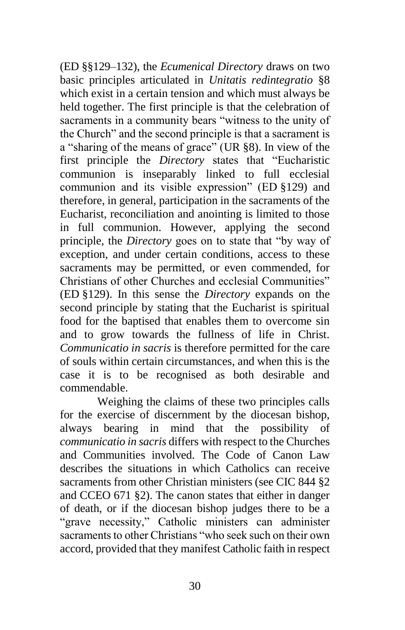(ED §§129–132), the *Ecumenical Directory* draws on two basic principles articulated in *Unitatis redintegratio* §8 which exist in a certain tension and which must always be held together. The first principle is that the celebration of sacraments in a community bears "witness to the unity of the Church" and the second principle is that a sacrament is a "sharing of the means of grace" (UR §8). In view of the first principle the *Directory* states that "Eucharistic communion is inseparably linked to full ecclesial communion and its visible expression" (ED §129) and therefore, in general, participation in the sacraments of the Eucharist, reconciliation and anointing is limited to those in full communion. However, applying the second principle, the *Directory* goes on to state that "by way of exception, and under certain conditions, access to these sacraments may be permitted, or even commended, for Christians of other Churches and ecclesial Communities" (ED §129). In this sense the *Directory* expands on the second principle by stating that the Eucharist is spiritual food for the baptised that enables them to overcome sin and to grow towards the fullness of life in Christ. *Communicatio in sacris* is therefore permitted for the care of souls within certain circumstances, and when this is the case it is to be recognised as both desirable and commendable.

Weighing the claims of these two principles calls for the exercise of discernment by the diocesan bishop, always bearing in mind that the possibility of *communicatio in sacris* differs with respect to the Churches and Communities involved. The Code of Canon Law describes the situations in which Catholics can receive sacraments from other Christian ministers (see CIC 844 §2 and CCEO 671 §2). The canon states that either in danger of death, or if the diocesan bishop judges there to be a "grave necessity," Catholic ministers can administer sacraments to other Christians "who seek such on their own accord, provided that they manifest Catholic faith in respect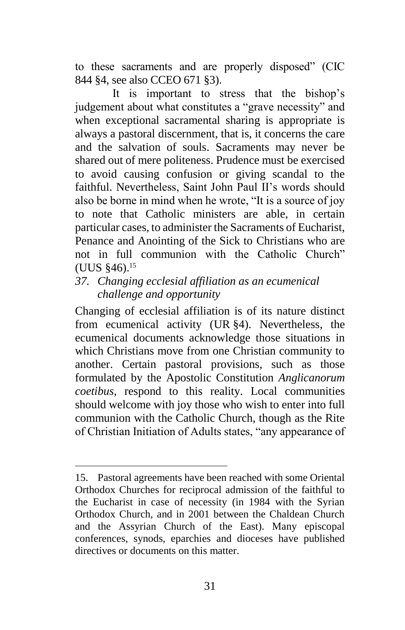to these sacraments and are properly disposed" (CIC 844 §4, see also CCEO 671 §3).

It is important to stress that the bishop's judgement about what constitutes a "grave necessity" and when exceptional sacramental sharing is appropriate is always a pastoral discernment, that is, it concerns the care and the salvation of souls. Sacraments may never be shared out of mere politeness. Prudence must be exercised to avoid causing confusion or giving scandal to the faithful. Nevertheless, Saint John Paul II's words should also be borne in mind when he wrote, "It is a source of joy to note that Catholic ministers are able, in certain particular cases, to administer the Sacraments of Eucharist, Penance and Anointing of the Sick to Christians who are not in full communion with the Catholic Church" (UUS §46).<sup>15</sup>

*37. Changing ecclesial affiliation as an ecumenical challenge and opportunity*

Changing of ecclesial affiliation is of its nature distinct from ecumenical activity (UR §4). Nevertheless, the ecumenical documents acknowledge those situations in which Christians move from one Christian community to another. Certain pastoral provisions, such as those formulated by the Apostolic Constitution *Anglicanorum coetibus*, respond to this reality. Local communities should welcome with joy those who wish to enter into full communion with the Catholic Church, though as the Rite of Christian Initiation of Adults states, "any appearance of

 $\overline{a}$ 

<sup>15.</sup> Pastoral agreements have been reached with some Oriental Orthodox Churches for reciprocal admission of the faithful to the Eucharist in case of necessity (in 1984 with the Syrian Orthodox Church, and in 2001 between the Chaldean Church and the Assyrian Church of the East). Many episcopal conferences, synods, eparchies and dioceses have published directives or documents on this matter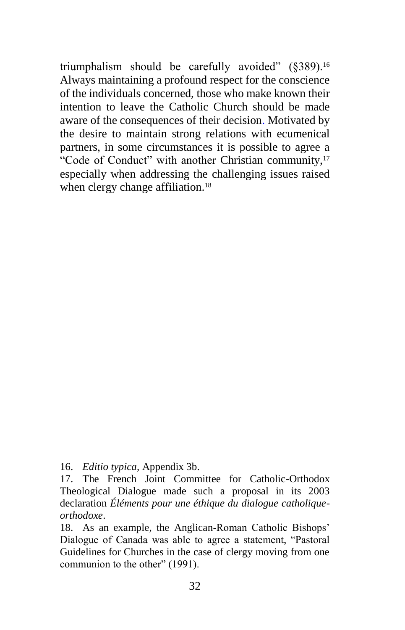triumphalism should be carefully avoided"  $(8389)$ .<sup>16</sup> Always maintaining a profound respect for the conscience of the individuals concerned, those who make known their intention to leave the Catholic Church should be made aware of the consequences of their decision. Motivated by the desire to maintain strong relations with ecumenical partners, in some circumstances it is possible to agree a "Code of Conduct" with another Christian community,<sup>17</sup> especially when addressing the challenging issues raised when clergy change affiliation.<sup>18</sup>

 $\overline{a}$ 

<sup>16.</sup> *Editio typica,* Appendix 3b.

<sup>17.</sup> The French Joint Committee for Catholic-Orthodox Theological Dialogue made such a proposal in its 2003 declaration *Éléments pour une éthique du dialogue catholiqueorthodoxe*.

<sup>18.</sup> As an example, the Anglican-Roman Catholic Bishops' Dialogue of Canada was able to agree a statement, "Pastoral Guidelines for Churches in the case of clergy moving from one communion to the other" (1991).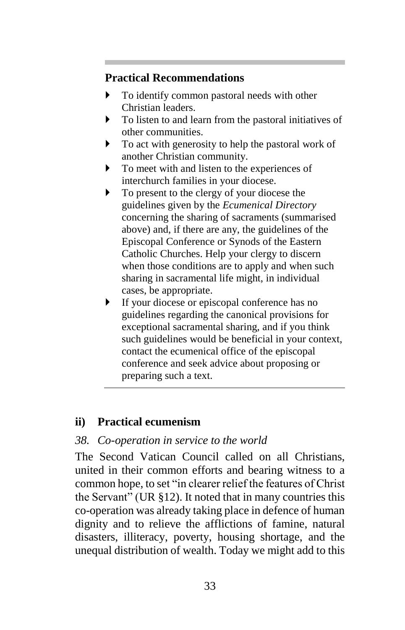### **Practical Recommendations**

- To identify common pastoral needs with other Christian leaders.
- To listen to and learn from the pastoral initiatives of other communities.
- $\triangleright$  To act with generosity to help the pastoral work of another Christian community.
- To meet with and listen to the experiences of interchurch families in your diocese.
- $\triangleright$  To present to the clergy of your diocese the guidelines given by the *Ecumenical Directory* concerning the sharing of sacraments (summarised above) and, if there are any, the guidelines of the Episcopal Conference or Synods of the Eastern Catholic Churches. Help your clergy to discern when those conditions are to apply and when such sharing in sacramental life might, in individual cases, be appropriate.
- If your diocese or episcopal conference has no guidelines regarding the canonical provisions for exceptional sacramental sharing, and if you think such guidelines would be beneficial in your context, contact the ecumenical office of the episcopal conference and seek advice about proposing or preparing such a text.

# **ii) Practical ecumenism**

# *38. Co-operation in service to the world*

The Second Vatican Council called on all Christians, united in their common efforts and bearing witness to a common hope, to set "in clearer relief the features of Christ the Servant" (UR §12). It noted that in many countries this co-operation was already taking place in defence of human dignity and to relieve the afflictions of famine, natural disasters, illiteracy, poverty, housing shortage, and the unequal distribution of wealth. Today we might add to this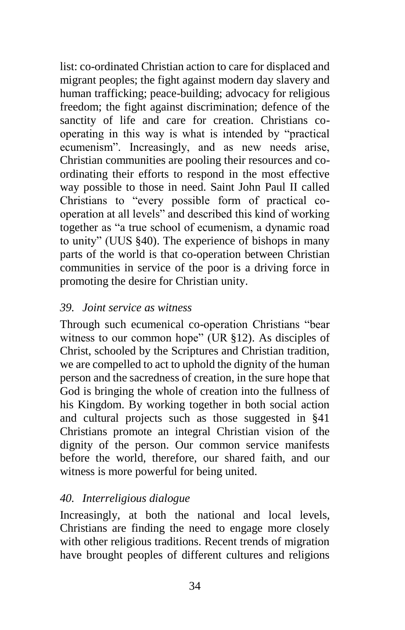list: co-ordinated Christian action to care for displaced and migrant peoples; the fight against modern day slavery and human trafficking; peace-building; advocacy for religious freedom; the fight against discrimination; defence of the sanctity of life and care for creation. Christians cooperating in this way is what is intended by "practical ecumenism". Increasingly, and as new needs arise, Christian communities are pooling their resources and coordinating their efforts to respond in the most effective way possible to those in need. Saint John Paul II called Christians to "every possible form of practical cooperation at all levels" and described this kind of working together as "a true school of ecumenism, a dynamic road to unity" (UUS §40). The experience of bishops in many parts of the world is that co-operation between Christian communities in service of the poor is a driving force in promoting the desire for Christian unity.

### *39. Joint service as witness*

Through such ecumenical co-operation Christians "bear witness to our common hope" (UR §12). As disciples of Christ, schooled by the Scriptures and Christian tradition, we are compelled to act to uphold the dignity of the human person and the sacredness of creation, in the sure hope that God is bringing the whole of creation into the fullness of his Kingdom. By working together in both social action and cultural projects such as those suggested in §41 Christians promote an integral Christian vision of the dignity of the person. Our common service manifests before the world, therefore, our shared faith, and our witness is more powerful for being united.

# *40. Interreligious dialogue*

Increasingly, at both the national and local levels, Christians are finding the need to engage more closely with other religious traditions. Recent trends of migration have brought peoples of different cultures and religions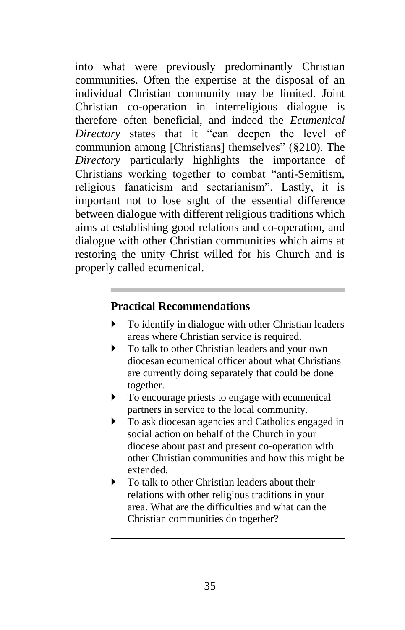into what were previously predominantly Christian communities. Often the expertise at the disposal of an individual Christian community may be limited. Joint Christian co-operation in interreligious dialogue is therefore often beneficial, and indeed the *Ecumenical Directory* states that it "can deepen the level of communion among [Christians] themselves" (§210). The *Directory* particularly highlights the importance of Christians working together to combat "anti-Semitism, religious fanaticism and sectarianism". Lastly, it is important not to lose sight of the essential difference between dialogue with different religious traditions which aims at establishing good relations and co-operation, and dialogue with other Christian communities which aims at restoring the unity Christ willed for his Church and is properly called ecumenical.

#### **Practical Recommendations**

- To identify in dialogue with other Christian leaders areas where Christian service is required.
- $\triangleright$  To talk to other Christian leaders and your own diocesan ecumenical officer about what Christians are currently doing separately that could be done together.
- $\triangleright$  To encourage priests to engage with ecumenical partners in service to the local community.
- To ask diocesan agencies and Catholics engaged in social action on behalf of the Church in your diocese about past and present co-operation with other Christian communities and how this might be extended.
- $\triangleright$  To talk to other Christian leaders about their relations with other religious traditions in your area. What are the difficulties and what can the Christian communities do together?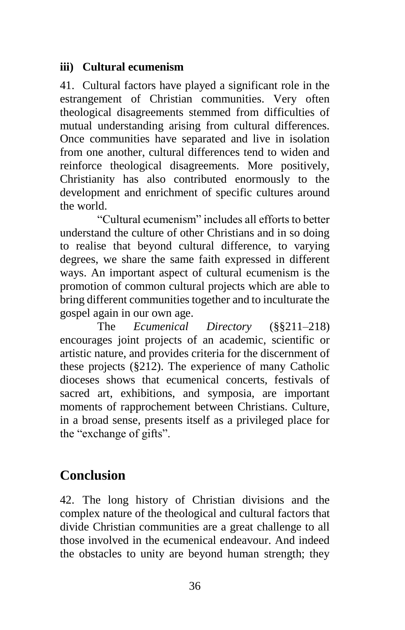### **iii) Cultural ecumenism**

41. Cultural factors have played a significant role in the estrangement of Christian communities. Very often theological disagreements stemmed from difficulties of mutual understanding arising from cultural differences. Once communities have separated and live in isolation from one another, cultural differences tend to widen and reinforce theological disagreements. More positively, Christianity has also contributed enormously to the development and enrichment of specific cultures around the world.

"Cultural ecumenism" includes all efforts to better understand the culture of other Christians and in so doing to realise that beyond cultural difference, to varying degrees, we share the same faith expressed in different ways. An important aspect of cultural ecumenism is the promotion of common cultural projects which are able to bring different communities together and to inculturate the gospel again in our own age.

The *Ecumenical Directory* (§§211–218) encourages joint projects of an academic, scientific or artistic nature, and provides criteria for the discernment of these projects (§212). The experience of many Catholic dioceses shows that ecumenical concerts, festivals of sacred art, exhibitions, and symposia, are important moments of rapprochement between Christians. Culture, in a broad sense, presents itself as a privileged place for the "exchange of gifts".

# **Conclusion**

42. The long history of Christian divisions and the complex nature of the theological and cultural factors that divide Christian communities are a great challenge to all those involved in the ecumenical endeavour. And indeed the obstacles to unity are beyond human strength; they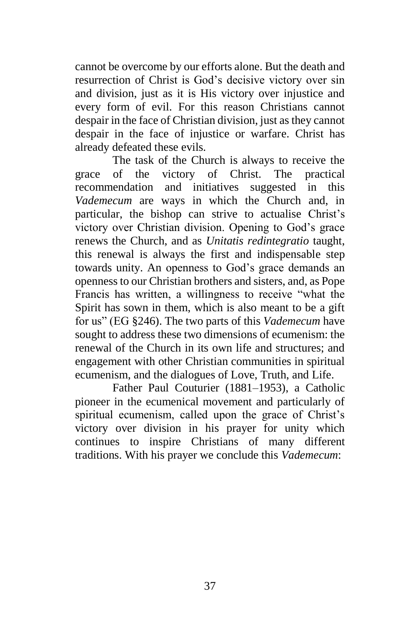cannot be overcome by our efforts alone. But the death and resurrection of Christ is God's decisive victory over sin and division, just as it is His victory over injustice and every form of evil. For this reason Christians cannot despair in the face of Christian division, just as they cannot despair in the face of injustice or warfare. Christ has already defeated these evils.

The task of the Church is always to receive the grace of the victory of Christ. The practical recommendation and initiatives suggested in this *Vademecum* are ways in which the Church and, in particular, the bishop can strive to actualise Christ's victory over Christian division. Opening to God's grace renews the Church, and as *Unitatis redintegratio* taught, this renewal is always the first and indispensable step towards unity. An openness to God's grace demands an openness to our Christian brothers and sisters, and, as Pope Francis has written, a willingness to receive "what the Spirit has sown in them, which is also meant to be a gift for us" (EG §246). The two parts of this *Vademecum* have sought to address these two dimensions of ecumenism: the renewal of the Church in its own life and structures; and engagement with other Christian communities in spiritual ecumenism, and the dialogues of Love, Truth, and Life.

Father Paul Couturier (1881–1953), a Catholic pioneer in the ecumenical movement and particularly of spiritual ecumenism, called upon the grace of Christ's victory over division in his prayer for unity which continues to inspire Christians of many different traditions. With his prayer we conclude this *Vademecum*: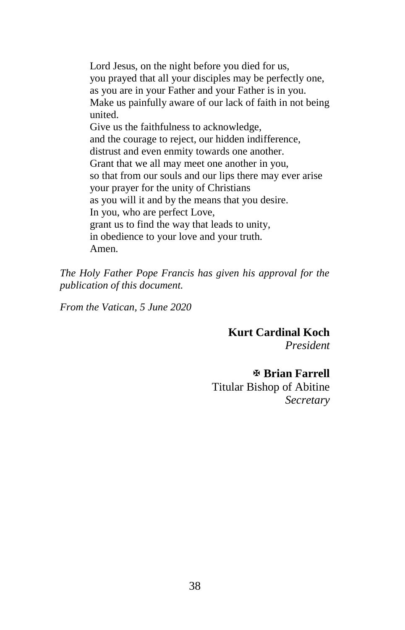Lord Jesus, on the night before you died for us, you prayed that all your disciples may be perfectly one, as you are in your Father and your Father is in you. Make us painfully aware of our lack of faith in not being united. Give us the faithfulness to acknowledge, and the courage to reject, our hidden indifference, distrust and even enmity towards one another. Grant that we all may meet one another in you, so that from our souls and our lips there may ever arise your prayer for the unity of Christians as you will it and by the means that you desire. In you, who are perfect Love, grant us to find the way that leads to unity, in obedience to your love and your truth. Amen.

*The Holy Father Pope Francis has given his approval for the publication of this document.*

*From the Vatican, 5 June 2020*

**Kurt Cardinal Koch** *President*

**Brian Farrell**

Titular Bishop of Abitine *Secretary*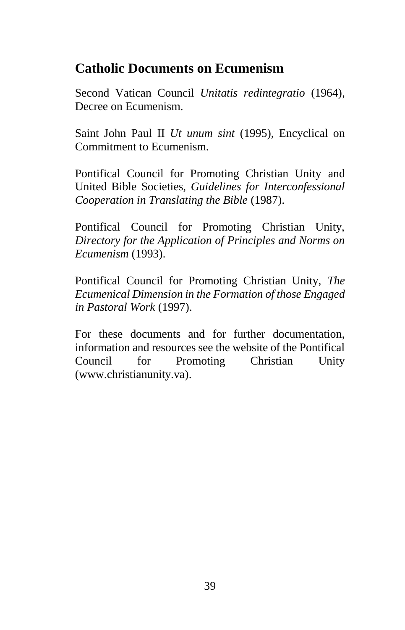# **Catholic Documents on Ecumenism**

Second Vatican Council *Unitatis redintegratio* (1964), Decree on Ecumenism.

Saint John Paul II *Ut unum sint* (1995), Encyclical on Commitment to Ecumenism.

Pontifical Council for Promoting Christian Unity and United Bible Societies, *Guidelines for Interconfessional Cooperation in Translating the Bible* (1987).

Pontifical Council for Promoting Christian Unity, *Directory for the Application of Principles and Norms on Ecumenism* (1993).

Pontifical Council for Promoting Christian Unity, *The Ecumenical Dimension in the Formation of those Engaged in Pastoral Work* (1997).

For these documents and for further documentation, information and resources see the website of the Pontifical Council for Promoting Christian Unity (www.christianunity.va).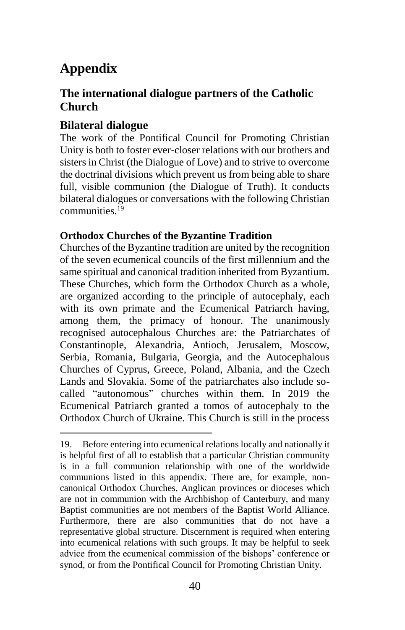# **Appendix**

l

### **The international dialogue partners of the Catholic Church**

### **Bilateral dialogue**

The work of the Pontifical Council for Promoting Christian Unity is both to foster ever-closer relations with our brothers and sisters in Christ (the Dialogue of Love) and to strive to overcome the doctrinal divisions which prevent us from being able to share full, visible communion (the Dialogue of Truth). It conducts bilateral dialogues or conversations with the following Christian communities.<sup>19</sup>

#### **Orthodox Churches of the Byzantine Tradition**

Churches of the Byzantine tradition are united by the recognition of the seven ecumenical councils of the first millennium and the same spiritual and canonical tradition inherited from Byzantium. These Churches, which form the Orthodox Church as a whole, are organized according to the principle of autocephaly, each with its own primate and the Ecumenical Patriarch having, among them, the primacy of honour. The unanimously recognised autocephalous Churches are: the Patriarchates of Constantinople, Alexandria, Antioch, Jerusalem, Moscow, Serbia, Romania, Bulgaria, Georgia, and the Autocephalous Churches of Cyprus, Greece, Poland, Albania, and the Czech Lands and Slovakia. Some of the patriarchates also include socalled "autonomous" churches within them. In 2019 the Ecumenical Patriarch granted a tomos of autocephaly to the Orthodox Church of Ukraine. This Church is still in the process

<sup>19.</sup> Before entering into ecumenical relations locally and nationally it is helpful first of all to establish that a particular Christian community is in a full communion relationship with one of the worldwide communions listed in this appendix. There are, for example, noncanonical Orthodox Churches, Anglican provinces or dioceses which are not in communion with the Archbishop of Canterbury, and many Baptist communities are not members of the Baptist World Alliance. Furthermore, there are also communities that do not have a representative global structure. Discernment is required when entering into ecumenical relations with such groups. It may be helpful to seek advice from the ecumenical commission of the bishops' conference or synod, or from the Pontifical Council for Promoting Christian Unity.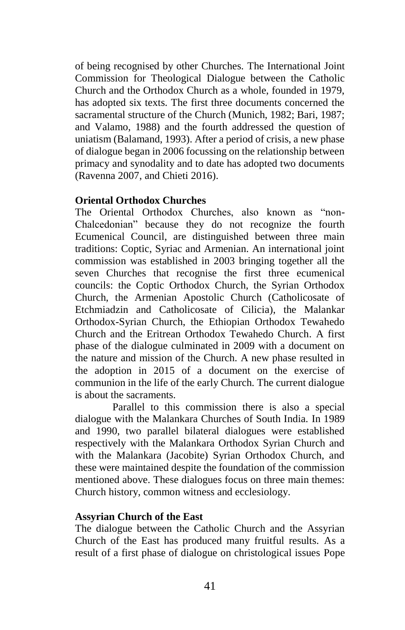of being recognised by other Churches. The International Joint Commission for Theological Dialogue between the Catholic Church and the Orthodox Church as a whole, founded in 1979, has adopted six texts. The first three documents concerned the sacramental structure of the Church (Munich, 1982; Bari, 1987; and Valamo, 1988) and the fourth addressed the question of uniatism (Balamand, 1993). After a period of crisis, a new phase of dialogue began in 2006 focussing on the relationship between primacy and synodality and to date has adopted two documents (Ravenna 2007, and Chieti 2016).

#### **Oriental Orthodox Churches**

The Oriental Orthodox Churches, also known as "non-Chalcedonian" because they do not recognize the fourth Ecumenical Council, are distinguished between three main traditions: Coptic, Syriac and Armenian. An international joint commission was established in 2003 bringing together all the seven Churches that recognise the first three ecumenical councils: the Coptic Orthodox Church, the Syrian Orthodox Church, the Armenian Apostolic Church (Catholicosate of Etchmiadzin and Catholicosate of Cilicia), the Malankar Orthodox-Syrian Church, the Ethiopian Orthodox Tewahedo Church and the Eritrean Orthodox Tewahedo Church. A first phase of the dialogue culminated in 2009 with a document on the nature and mission of the Church. A new phase resulted in the adoption in 2015 of a document on the exercise of communion in the life of the early Church. The current dialogue is about the sacraments.

Parallel to this commission there is also a special dialogue with the Malankara Churches of South India. In 1989 and 1990, two parallel bilateral dialogues were established respectively with the Malankara Orthodox Syrian Church and with the Malankara (Jacobite) Syrian Orthodox Church, and these were maintained despite the foundation of the commission mentioned above. These dialogues focus on three main themes: Church history, common witness and ecclesiology.

#### **Assyrian Church of the East**

The dialogue between the Catholic Church and the Assyrian Church of the East has produced many fruitful results. As a result of a first phase of dialogue on christological issues Pope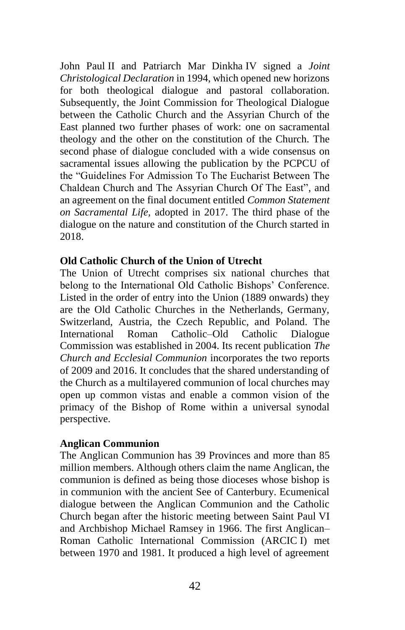John Paul II and Patriarch Mar Dinkha IV signed a *Joint Christological Declaration* in 1994, which opened new horizons for both theological dialogue and pastoral collaboration. Subsequently, the Joint Commission for Theological Dialogue between the Catholic Church and the Assyrian Church of the East planned two further phases of work: one on sacramental theology and the other on the constitution of the Church. The second phase of dialogue concluded with a wide consensus on sacramental issues allowing the publication by the PCPCU of the "Guidelines For Admission To The Eucharist Between The Chaldean Church and The Assyrian Church Of The East", and an agreement on the final document entitled *Common Statement on Sacramental Life,* adopted in 2017. The third phase of the dialogue on the nature and constitution of the Church started in 2018.

#### **Old Catholic Church of the Union of Utrecht**

The Union of Utrecht comprises six national churches that belong to the International Old Catholic Bishops' Conference. Listed in the order of entry into the Union (1889 onwards) they are the Old Catholic Churches in the Netherlands, Germany, Switzerland, Austria, the Czech Republic, and Poland. The International Roman Catholic–Old Catholic Dialogue Commission was established in 2004. Its recent publication *The Church and Ecclesial Communion* incorporates the two reports of 2009 and 2016. It concludes that the shared understanding of the Church as a multilayered communion of local churches may open up common vistas and enable a common vision of the primacy of the Bishop of Rome within a universal synodal perspective.

#### **Anglican Communion**

The Anglican Communion has 39 Provinces and more than 85 million members. Although others claim the name Anglican, the communion is defined as being those dioceses whose bishop is in communion with the ancient See of Canterbury. Ecumenical dialogue between the Anglican Communion and the Catholic Church began after the historic meeting between Saint Paul VI and Archbishop Michael Ramsey in 1966. The first Anglican– Roman Catholic International Commission (ARCIC I) met between 1970 and 1981. It produced a high level of agreement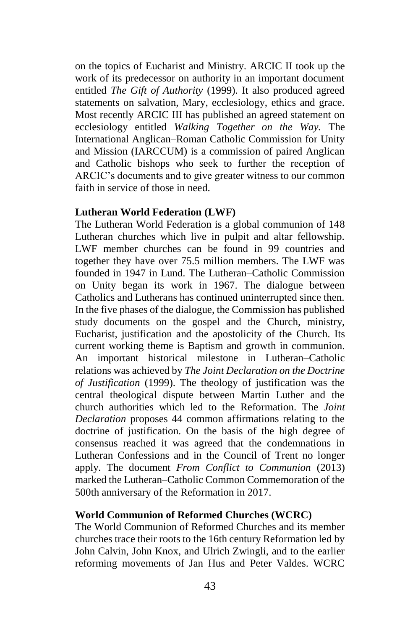on the topics of Eucharist and Ministry. ARCIC II took up the work of its predecessor on authority in an important document entitled *The Gift of Authority* (1999). It also produced agreed statements on salvation, Mary, ecclesiology, ethics and grace. Most recently ARCIC III has published an agreed statement on ecclesiology entitled *Walking Together on the Way.* The International Anglican–Roman Catholic Commission for Unity and Mission (IARCCUM) is a commission of paired Anglican and Catholic bishops who seek to further the reception of ARCIC's documents and to give greater witness to our common faith in service of those in need.

#### **Lutheran World Federation (LWF)**

The Lutheran World Federation is a global communion of 148 Lutheran churches which live in pulpit and altar fellowship. LWF member churches can be found in 99 countries and together they have over 75.5 million members. The LWF was founded in 1947 in Lund. The Lutheran–Catholic Commission on Unity began its work in 1967. The dialogue between Catholics and Lutherans has continued uninterrupted since then. In the five phases of the dialogue, the Commission has published study documents on the gospel and the Church, ministry, Eucharist, justification and the apostolicity of the Church. Its current working theme is Baptism and growth in communion. An important historical milestone in Lutheran–Catholic relations was achieved by *The Joint Declaration on the Doctrine of Justification* (1999). The theology of justification was the central theological dispute between Martin Luther and the church authorities which led to the Reformation. The *Joint Declaration* proposes 44 common affirmations relating to the doctrine of justification. On the basis of the high degree of consensus reached it was agreed that the condemnations in Lutheran Confessions and in the Council of Trent no longer apply. The document *From Conflict to Communion* (2013) marked the Lutheran–Catholic Common Commemoration of the 500th anniversary of the Reformation in 2017.

#### **World Communion of Reformed Churches (WCRC)**

The World Communion of Reformed Churches and its member churches trace their roots to the 16th century Reformation led by John Calvin, John Knox, and Ulrich Zwingli, and to the earlier reforming movements of Jan Hus and Peter Valdes. WCRC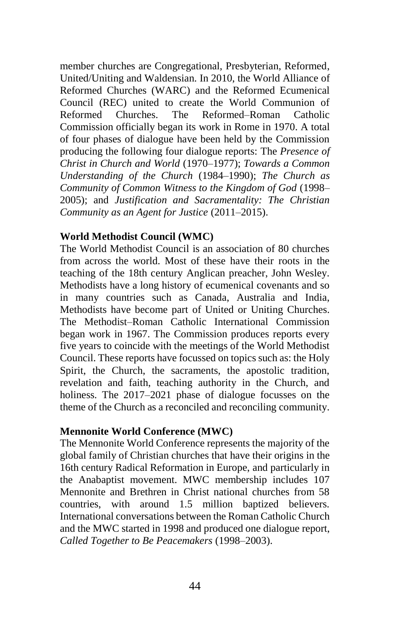member churches are Congregational, Presbyterian, Reformed, United/Uniting and Waldensian. In 2010, the World Alliance of Reformed Churches (WARC) and the Reformed Ecumenical Council (REC) united to create the World Communion of Reformed Churches. The Reformed–Roman Catholic Commission officially began its work in Rome in 1970. A total of four phases of dialogue have been held by the Commission producing the following four dialogue reports: The *Presence of Christ in Church and World* (1970–1977); *Towards a Common Understanding of the Church* (1984–1990); *The Church as Community of Common Witness to the Kingdom of God* (1998– 2005); and *Justification and Sacramentality: The Christian Community as an Agent for Justice* (2011–2015).

#### **World Methodist Council (WMC)**

The World Methodist Council is an association of 80 churches from across the world. Most of these have their roots in the teaching of the 18th century Anglican preacher, John Wesley. Methodists have a long history of ecumenical covenants and so in many countries such as Canada, Australia and India, Methodists have become part of United or Uniting Churches. The Methodist–Roman Catholic International Commission began work in 1967. The Commission produces reports every five years to coincide with the meetings of the World Methodist Council. These reports have focussed on topics such as: the Holy Spirit, the Church, the sacraments, the apostolic tradition, revelation and faith, teaching authority in the Church, and holiness. The 2017–2021 phase of dialogue focusses on the theme of the Church as a reconciled and reconciling community.

#### **Mennonite World Conference (MWC)**

The Mennonite World Conference represents the majority of the global family of Christian churches that have their origins in the 16th century Radical Reformation in Europe, and particularly in the Anabaptist movement. MWC membership includes 107 Mennonite and Brethren in Christ national churches from 58 countries, with around 1.5 million baptized believers. International conversations between the Roman Catholic Church and the MWC started in 1998 and produced one dialogue report, *Called Together to Be Peacemakers* (1998–2003).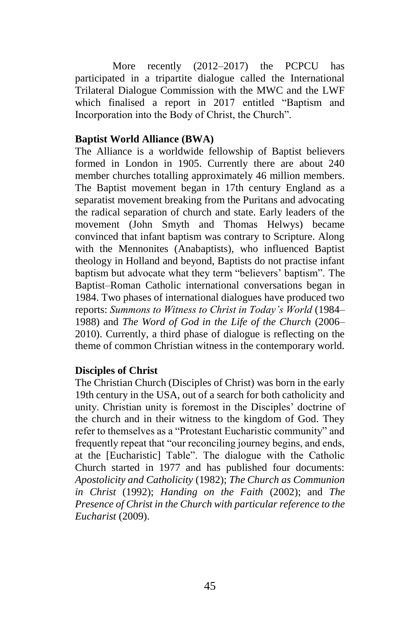More recently (2012–2017) the PCPCU has participated in a tripartite dialogue called the International Trilateral Dialogue Commission with the MWC and the LWF which finalised a report in 2017 entitled "Baptism and Incorporation into the Body of Christ, the Church".

#### **Baptist World Alliance (BWA)**

The Alliance is a worldwide fellowship of Baptist believers formed in London in 1905. Currently there are about 240 member churches totalling approximately 46 million members. The Baptist movement began in 17th century England as a separatist movement breaking from the Puritans and advocating the radical separation of church and state. Early leaders of the movement (John Smyth and Thomas Helwys) became convinced that infant baptism was contrary to Scripture. Along with the Mennonites (Anabaptists), who influenced Baptist theology in Holland and beyond, Baptists do not practise infant baptism but advocate what they term "believers' baptism". The Baptist–Roman Catholic international conversations began in 1984. Two phases of international dialogues have produced two reports: *Summons to Witness to Christ in Today's World* (1984– 1988) and *The Word of God in the Life of the Church* (2006– 2010). Currently, a third phase of dialogue is reflecting on the theme of common Christian witness in the contemporary world.

#### **Disciples of Christ**

The Christian Church (Disciples of Christ) was born in the early 19th century in the USA, out of a search for both catholicity and unity. Christian unity is foremost in the Disciples' doctrine of the church and in their witness to the kingdom of God. They refer to themselves as a "Protestant Eucharistic community" and frequently repeat that "our reconciling journey begins, and ends, at the [Eucharistic] Table". The dialogue with the Catholic Church started in 1977 and has published four documents: *Apostolicity and Catholicity* (1982); *The Church as Communion in Christ* (1992); *Handing on the Faith* (2002); and *The Presence of Christ in the Church with particular reference to the Eucharist* (2009).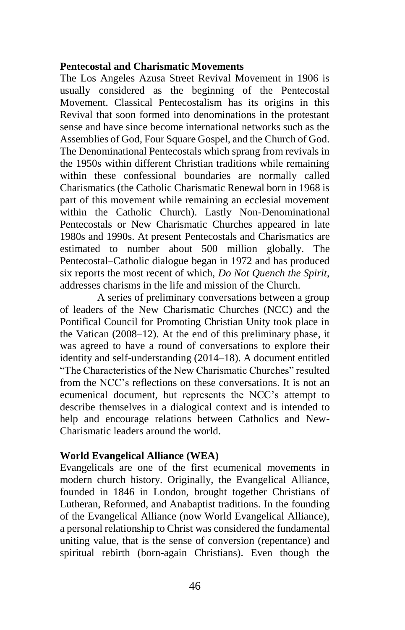#### **Pentecostal and Charismatic Movements**

The Los Angeles Azusa Street Revival Movement in 1906 is usually considered as the beginning of the Pentecostal Movement. Classical Pentecostalism has its origins in this Revival that soon formed into denominations in the protestant sense and have since become international networks such as the Assemblies of God, Four Square Gospel, and the Church of God. The Denominational Pentecostals which sprang from revivals in the 1950s within different Christian traditions while remaining within these confessional boundaries are normally called Charismatics (the Catholic Charismatic Renewal born in 1968 is part of this movement while remaining an ecclesial movement within the Catholic Church). Lastly Non-Denominational Pentecostals or New Charismatic Churches appeared in late 1980s and 1990s. At present Pentecostals and Charismatics are estimated to number about 500 million globally. The Pentecostal–Catholic dialogue began in 1972 and has produced six reports the most recent of which, *Do Not Quench the Spirit*, addresses charisms in the life and mission of the Church.

A series of preliminary conversations between a group of leaders of the New Charismatic Churches (NCC) and the Pontifical Council for Promoting Christian Unity took place in the Vatican (2008–12). At the end of this preliminary phase, it was agreed to have a round of conversations to explore their identity and self-understanding (2014–18). A document entitled "The Characteristics of the New Charismatic Churches" resulted from the NCC's reflections on these conversations. It is not an ecumenical document, but represents the NCC's attempt to describe themselves in a dialogical context and is intended to help and encourage relations between Catholics and New-Charismatic leaders around the world.

#### **World Evangelical Alliance (WEA)**

Evangelicals are one of the first ecumenical movements in modern church history. Originally, the Evangelical Alliance, founded in 1846 in London, brought together Christians of Lutheran, Reformed, and Anabaptist traditions. In the founding of the Evangelical Alliance (now World Evangelical Alliance), a personal relationship to Christ was considered the fundamental uniting value, that is the sense of conversion (repentance) and spiritual rebirth (born-again Christians). Even though the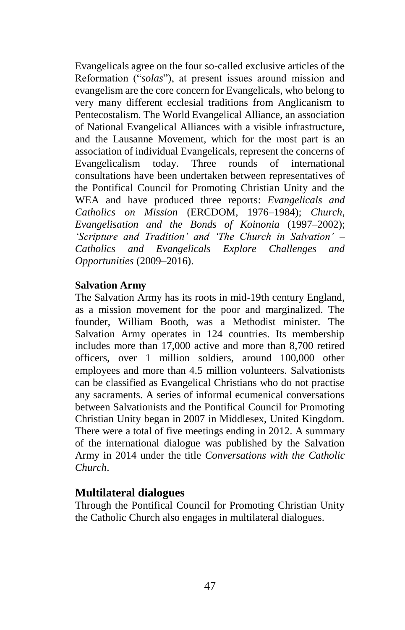Evangelicals agree on the four so-called exclusive articles of the Reformation ("*solas*"), at present issues around mission and evangelism are the core concern for Evangelicals, who belong to very many different ecclesial traditions from Anglicanism to Pentecostalism. The World Evangelical Alliance, an association of National Evangelical Alliances with a visible infrastructure, and the Lausanne Movement, which for the most part is an association of individual Evangelicals, represent the concerns of Evangelicalism today. Three rounds of international consultations have been undertaken between representatives of the Pontifical Council for Promoting Christian Unity and the WEA and have produced three reports: *Evangelicals and Catholics on Mission* (ERCDOM, 1976–1984); *Church, Evangelisation and the Bonds of Koinonia* (1997–2002); *'Scripture and Tradition' and 'The Church in Salvation' – Catholics and Evangelicals Explore Challenges and Opportunities* (2009–2016).

#### **Salvation Army**

The Salvation Army has its roots in mid-19th century England, as a mission movement for the poor and marginalized. The founder, William Booth, was a Methodist minister. The Salvation Army operates in 124 countries. Its membership includes more than 17,000 active and more than 8,700 retired officers, over 1 million soldiers, around 100,000 other employees and more than 4.5 million volunteers. Salvationists can be classified as Evangelical Christians who do not practise any sacraments. A series of informal ecumenical conversations between Salvationists and the Pontifical Council for Promoting Christian Unity began in 2007 in Middlesex, United Kingdom. There were a total of five meetings ending in 2012. A summary of the international dialogue was published by the Salvation Army in 2014 under the title *Conversations with the Catholic Church*.

#### **Multilateral dialogues**

Through the Pontifical Council for Promoting Christian Unity the Catholic Church also engages in multilateral dialogues.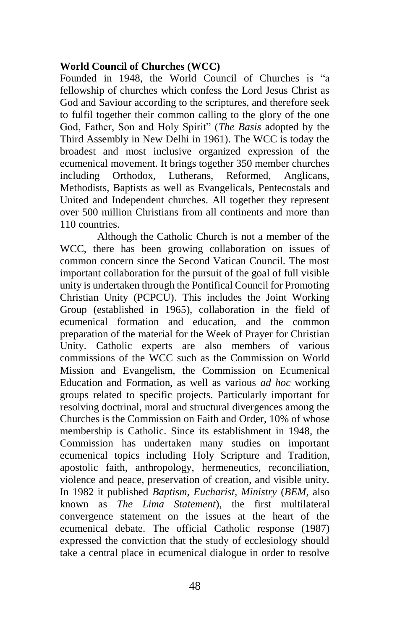#### **World Council of Churches (WCC)**

Founded in 1948, the World Council of Churches is "a fellowship of churches which confess the Lord Jesus Christ as God and Saviour according to the scriptures, and therefore seek to fulfil together their common calling to the glory of the one God, Father, Son and Holy Spirit" (*The Basis* adopted by the Third Assembly in New Delhi in 1961). The WCC is today the broadest and most inclusive organized expression of the ecumenical movement. It brings together 350 member churches including Orthodox, Lutherans, Reformed, Anglicans, Methodists, Baptists as well as Evangelicals, Pentecostals and United and Independent churches. All together they represent over 500 million Christians from all continents and more than 110 countries.

Although the Catholic Church is not a member of the WCC, there has been growing collaboration on issues of common concern since the Second Vatican Council. The most important collaboration for the pursuit of the goal of full visible unity is undertaken through the Pontifical Council for Promoting Christian Unity (PCPCU). This includes the Joint Working Group (established in 1965), collaboration in the field of ecumenical formation and education, and the common preparation of the material for the Week of Prayer for Christian Unity. Catholic experts are also members of various commissions of the WCC such as the Commission on World Mission and Evangelism, the Commission on Ecumenical Education and Formation, as well as various *ad hoc* working groups related to specific projects. Particularly important for resolving doctrinal, moral and structural divergences among the Churches is the Commission on Faith and Order, 10% of whose membership is Catholic. Since its establishment in 1948, the Commission has undertaken many studies on important ecumenical topics including Holy Scripture and Tradition, apostolic faith, anthropology, hermeneutics, reconciliation, violence and peace, preservation of creation, and visible unity. In 1982 it published *Baptism, Eucharist, Ministry* (*BEM*, also known as *The Lima Statement*), the first multilateral convergence statement on the issues at the heart of the ecumenical debate. The official Catholic response (1987) expressed the conviction that the study of ecclesiology should take a central place in ecumenical dialogue in order to resolve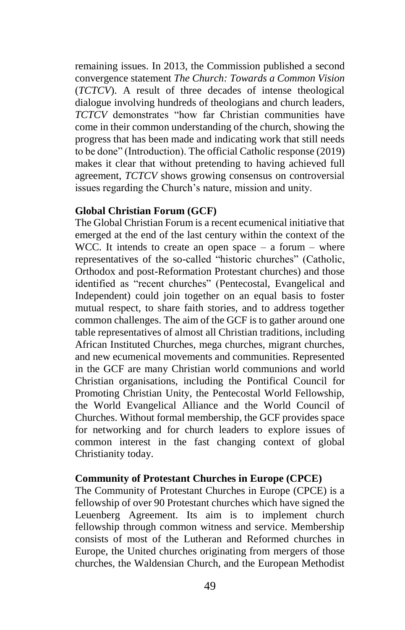remaining issues. In 2013, the Commission published a second convergence statement *The Church: Towards a Common Vision* (*TCTCV*). A result of three decades of intense theological dialogue involving hundreds of theologians and church leaders, *TCTCV* demonstrates "how far Christian communities have come in their common understanding of the church, showing the progress that has been made and indicating work that still needs to be done" (Introduction). The official Catholic response (2019) makes it clear that without pretending to having achieved full agreement, *TCTCV* shows growing consensus on controversial issues regarding the Church's nature, mission and unity.

#### **Global Christian Forum (GCF)**

The Global Christian Forum is a recent ecumenical initiative that emerged at the end of the last century within the context of the WCC. It intends to create an open space  $-$  a forum  $-$  where representatives of the so-called "historic churches" (Catholic, Orthodox and post-Reformation Protestant churches) and those identified as "recent churches" (Pentecostal, Evangelical and Independent) could join together on an equal basis to foster mutual respect, to share faith stories, and to address together common challenges. The aim of the GCF is to gather around one table representatives of almost all Christian traditions, including African Instituted Churches, mega churches, migrant churches, and new ecumenical movements and communities. Represented in the GCF are many Christian world communions and world Christian organisations, including the Pontifical Council for Promoting Christian Unity, the Pentecostal World Fellowship, the World Evangelical Alliance and the World Council of Churches. Without formal membership, the GCF provides space for networking and for church leaders to explore issues of common interest in the fast changing context of global Christianity today.

#### **Community of Protestant Churches in Europe (CPCE)**

The Community of Protestant Churches in Europe (CPCE) is a fellowship of over 90 Protestant churches which have signed the Leuenberg Agreement. Its aim is to implement church fellowship through common witness and service. Membership consists of most of the Lutheran and Reformed churches in Europe, the United churches originating from mergers of those churches, the Waldensian Church, and the European Methodist